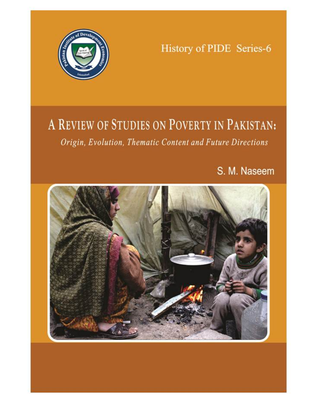

History of PIDE Series-6

# A REVIEW OF STUDIES ON POVERTY IN PAKISTAN: Origin, Evolution, Thematic Content and Future Directions

S. M. Naseem

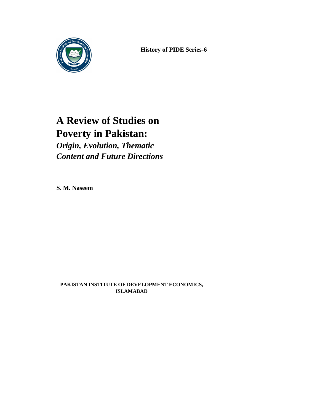

**History of PIDE Series-6**

# **A Review of Studies on Poverty in Pakistan:**

*Origin, Evolution, Thematic Content and Future Directions*

**S. M. Naseem** 

**PAKISTAN INSTITUTE OF DEVELOPMENT ECONOMICS, ISLAMABAD**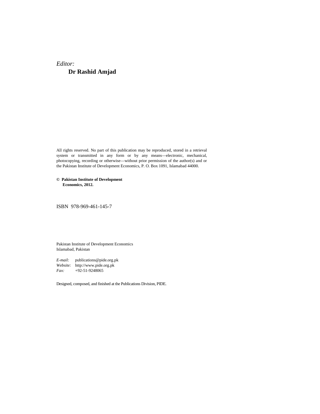# *Editor:*  **Dr Rashid Amjad**

All rights reserved. No part of this publication may be reproduced, stored in a retrieval system or transmitted in any form or by any means—electronic, mechanical, photocopying, recording or otherwise—without prior permission of the author(s) and or the Pakistan Institute of Development Economics, P. O. Box 1091, Islamabad 44000.

### **© Pakistan Institute of Development Economics, 2012.**

ISBN 978-969-461-145-7

Pakistan Institute of Development Economics Islamabad, Pakistan

*E-mail:* publications@pide.org.pk *Website:* http://www.pide.org.pk *Fax:* +92-51-9248065

Designed, composed, and finished at the Publications Division, PIDE.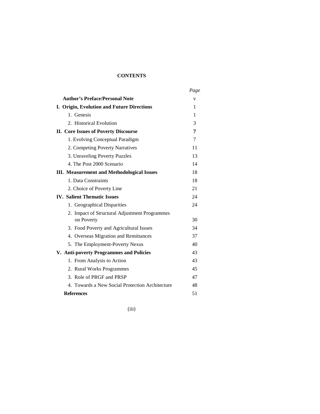# **CONTENTS**

|                                                             | Page |
|-------------------------------------------------------------|------|
| <b>Author's Preface/Personal Note</b>                       | V    |
| I. Origin, Evolution and Future Directions                  | 1    |
| 1. Genesis                                                  | 1    |
| 2. Historical Evolution                                     | 3    |
| <b>II. Core Issues of Poverty Discourse</b>                 | 7    |
| 1. Evolving Conceptual Paradigm                             | 7    |
| 2. Competing Poverty Narratives                             | 11   |
| 3. Unraveling Poverty Puzzles                               | 13   |
| 4. The Post 2000 Scenario                                   | 14   |
| <b>III.</b> Measurement and Methodological Issues           | 18   |
| 1. Data Constraints                                         | 18   |
| 2. Choice of Poverty Line                                   | 21   |
| <b>IV.</b> Salient Thematic Issues                          | 24   |
| 1. Geographical Disparities                                 | 24   |
| 2. Impact of Structural Adjustment Programmes<br>on Poverty | 30   |
| 3. Food Poverty and Agricultural Issues                     | 34   |
| 4. Overseas Migration and Remittances                       | 37   |
| 5. The Employment-Poverty Nexus                             | 40   |
| V. Anti-poverty Programmes and Policies                     | 43   |
| 1. From Analysis to Action                                  | 43   |
| 2. Rural Works Programmes                                   | 45   |
| 3. Role of PRGF and PRSP                                    | 47   |
| 4. Towards a New Social Protection Architecture             | 48   |
| <b>References</b>                                           | 51   |

(iii)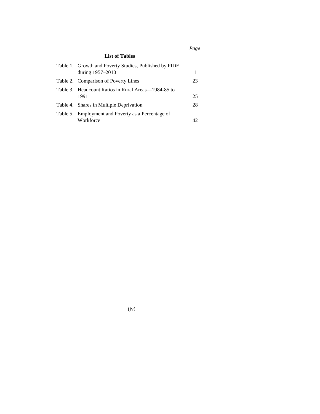*Page* 

# **List of Tables**

| Table 1. Growth and Poverty Studies, Published by PIDE |     |
|--------------------------------------------------------|-----|
| during 1957-2010                                       | 1   |
| Table 2. Comparison of Poverty Lines                   | 23  |
| Table 3. Headcount Ratios in Rural Areas—1984-85 to    |     |
| 1991                                                   | 25  |
| Table 4. Shares in Multiple Deprivation                | 28  |
| Table 5. Employment and Poverty as a Percentage of     |     |
| Workforce                                              | 42. |

(iv)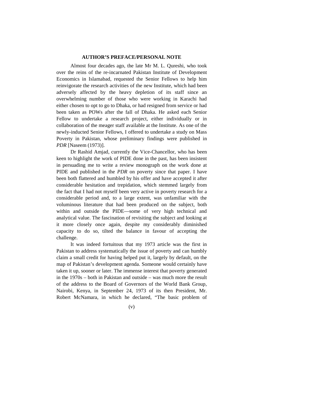### **AUTHOR'S PREFACE/PERSONAL NOTE**

Almost four decades ago, the late Mr M. L. Qureshi, who took over the reins of the re-incarnated Pakistan Institute of Development Economics in Islamabad, requested the Senior Fellows to help him reinvigorate the research activities of the new Institute, which had been adversely affected by the heavy depletion of its staff since an overwhelming number of those who were working in Karachi had either chosen to opt to go to Dhaka, or had resigned from service or had been taken as POWs after the fall of Dhaka. He asked each Senior Fellow to undertake a research project, either individually or in collaboration of the meager staff available at the Institute. As one of the newly-inducted Senior Fellows, I offered to undertake a study on Mass Poverty in Pakistan, whose preliminary findings were published in *PDR* [Naseem (1973)].

Dr Rashid Amjad, currently the Vice-Chancellor, who has been keen to highlight the work of PIDE done in the past, has been insistent in persuading me to write a review monograph on the work done at PIDE and published in the *PDR* on poverty since that paper. I have been both flattered and humbled by his offer and have accepted it after considerable hesitation and trepidation, which stemmed largely from the fact that I had not myself been very active in poverty research for a considerable period and, to a large extent, was unfamiliar with the voluminous literature that had been produced on the subject, both within and outside the PIDE—some of very high technical and analytical value. The fascination of revisiting the subject and looking at it more closely once again, despite my considerably diminished capacity to do so, tilted the balance in favour of accepting the challenge.

It was indeed fortuitous that my 1973 article was the first in Pakistan to address systematically the issue of poverty and can humbly claim a small credit for having helped put it, largely by default, on the map of Pakistan's development agenda. Someone would certainly have taken it up, sooner or later. The immense interest that poverty generated in the 1970s – both in Pakistan and outside – was much more the result of the address to the Board of Governors of the World Bank Group, Nairobi*,* Kenya, in September 24, 1973 of its then President, Mr. Robert McNamara, in which he declared, "The basic problem of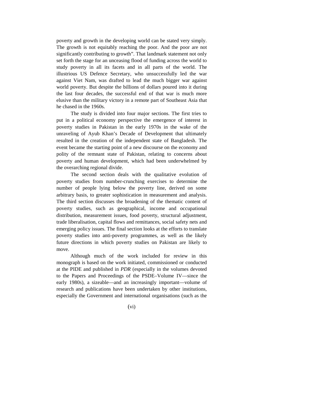poverty and growth in the developing world can be stated very simply. The growth is not equitably reaching the poor. And the poor are not significantly contributing to growth". That landmark statement not only set forth the stage for an unceasing flood of funding across the world to study poverty in all its facets and in all parts of the world. The illustrious US Defence Secretary, who unsuccessfully led the war against Viet Nam, was drafted to lead the much bigger war against world poverty. But despite the billions of dollars poured into it during the last four decades, the successful end of that war is much more elusive than the military victory in a remote part of Southeast Asia that he chased in the 1960s.

The study is divided into four major sections. The first tries to put in a political economy perspective the emergence of interest in poverty studies in Pakistan in the early 1970s in the wake of the unraveling of Ayub Khan's Decade of Development that ultimately resulted in the creation of the independent state of Bangladesh. The event became the starting point of a new discourse on the economy and polity of the remnant state of Pakistan, relating to concerns about poverty and human development, which had been underwhelmed by the overarching regional divide.

The second section deals with the qualitative evolution of poverty studies from number-crunching exercises to determine the number of people lying below the poverty line, derived on some arbitrary basis, to greater sophistication in measurement and analysis. The third section discusses the broadening of the thematic content of poverty studies, such as geographical, income and occupational distribution, measurement issues, food poverty, structural adjustment, trade liberalisation, capital flows and remittances, social safety nets and emerging policy issues. The final section looks at the efforts to translate poverty studies into anti-poverty programmes, as well as the likely future directions in which poverty studies on Pakistan are likely to move.

Although much of the work included for review in this monograph is based on the work initiated, commissioned or conducted at the PIDE and published in *PDR* (especially in the volumes devoted to the Papers and Proceedings of the PSDE–Volume IV—since the early 1980s), a sizeable—and an increasingly important—volume of research and publications have been undertaken by other institutions, especially the Government and international organisations (such as the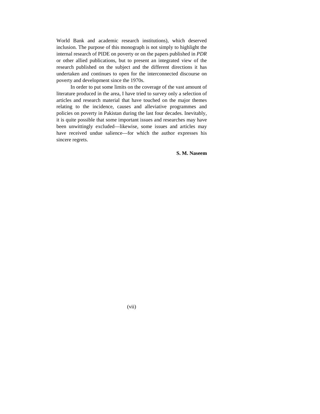World Bank and academic research institutions), which deserved inclusion. The purpose of this monograph is not simply to highlight the internal research of PIDE on poverty or on the papers published in *PDR* or other allied publications, but to present an integrated view of the research published on the subject and the different directions it has undertaken and continues to open for the interconnected discourse on poverty and development since the 1970s.

In order to put some limits on the coverage of the vast amount of literature produced in the area, I have tried to survey only a selection of articles and research material that have touched on the major themes relating to the incidence, causes and alleviative programmes and policies on poverty in Pakistan during the last four decades. Inevitably, it is quite possible that some important issues and researches may have been unwittingly excluded—likewise, some issues and articles may have received undue salience—for which the author expresses his sincere regrets.

**S. M. Naseem** 

(vii)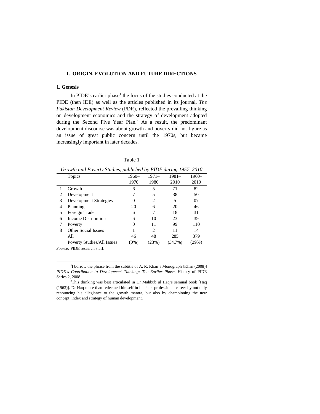## **I. ORIGIN, EVOLUTION AND FUTURE DIRECTIONS**

# **1. Genesis**

In PIDE's earlier phase<sup>1</sup> the focus of the studies conducted at the PIDE (then IDE) as well as the articles published in its journal, *The Pakistan Development Review* (PDR), reflected the prevailing thinking on development economics and the strategy of development adopted during the Second Five Year Plan.<sup>2</sup> As a result, the predominant development discourse was about growth and poverty did not figure as an issue of great public concern until the 1970s, but became increasingly important in later decades.

| ٩<br>×<br>۰ |  |
|-------------|--|

|   | Growin and I overly shaules, pablished by I IDL auring 1997–2010 |         |         |            |         |
|---|------------------------------------------------------------------|---------|---------|------------|---------|
|   | Topics                                                           | 1960–   | $1971-$ | $1981 -$   | $1960-$ |
|   |                                                                  | 1970    | 1980    | 2010       | 2010    |
|   | Growth                                                           | 6       | 5       | 71         | 82      |
| 2 | Development                                                      |         | 5       | 38         | 50      |
| 3 | <b>Development Strategies</b>                                    | 0       | 2       | 5          | 07      |
| 4 | Planning                                                         | 20      | 6       | 20         | 46      |
| 5 | Foreign Trade                                                    | 6       | 7       | 18         | 31      |
| 6 | Income Distribution                                              | 6       | 10      | 23         | 39      |
| 7 | Poverty                                                          | 0       | 11      | 99         | 110     |
| 8 | Other Social Issues                                              |         | 2       | 11         | 14      |
|   | All                                                              | 46      | 48      | 285        | 379     |
|   | <b>Poverty Studies/All Issues</b>                                | $(0\%)$ | (23%)   | $(34.7\%)$ | (29%)   |

*Growth and Poverty Studies, published by PIDE during 1957–2010* 

*Source:* PIDE research staff.

<sup>&</sup>lt;sup>1</sup>I borrow the phrase from the subtitle of A. R. Khan's Monograph [Khan (2008)] *PIDE's Contribution to Development Thinking: The Earlier Phase*. History of PIDE Series 2, 2008.

<sup>2</sup>This thinking was best articulated in Dr Mahbub ul Haq's seminal book [Haq (1963)]. Dr Haq more than redeemed himself in his later professional career by not only renouncing his allegiance to the growth mantra, but also by championing the new concept, index and strategy of human development.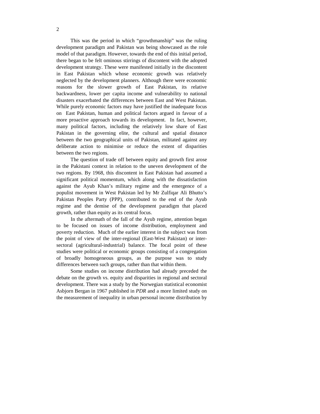This was the period in which "growthmanship" was the ruling development paradigm and Pakistan was being showcased as the role model of that paradigm. However, towards the end of this initial period, there began to be felt ominous stirrings of discontent with the adopted development strategy. These were manifested initially in the discontent in East Pakistan which whose economic growth was relatively neglected by the development planners. Although there were economic reasons for the slower growth of East Pakistan, its relative backwardness, lower per capita income and vulnerability to national disasters exacerbated the differences between East and West Pakistan. While purely economic factors may have justified the inadequate focus on East Pakistan, human and political factors argued in favour of a more proactive approach towards its development. In fact, however, many political factors, including the relatively low share of East Pakistan in the governing elite, the cultural and spatial distance between the two geographical units of Pakistan, militated against any deliberate action to minimise or reduce the extent of disparities between the two regions.

The question of trade off between equity and growth first arose in the Pakistani context in relation to the uneven development of the two regions. By 1968, this discontent in East Pakistan had assumed a significant political momentum, which along with the dissatisfaction against the Ayub Khan's military regime and the emergence of a populist movement in West Pakistan led by Mr Zulfiqar Ali Bhutto's Pakistan Peoples Party (PPP), contributed to the end of the Ayub regime and the demise of the development paradigm that placed growth, rather than equity as its central focus.

In the aftermath of the fall of the Ayub regime, attention began to be focused on issues of income distribution, employment and poverty reduction. Much of the earlier interest in the subject was from the point of view of the inter-regional (East-West Pakistan) or intersectoral (agricultural-industrial) balance. The focal point of these studies were political or economic groups consisting of a congregation of broadly homogeneous groups, as the purpose was to study differences between such groups, rather than that within them.

Some studies on income distribution had already preceded the debate on the growth vs. equity and disparities in regional and sectoral development. There was a study by the Norwegian statistical economist Asbjorn Bergan in 1967 published in *PDR* and a more limited study on the measurement of inequality in urban personal income distribution by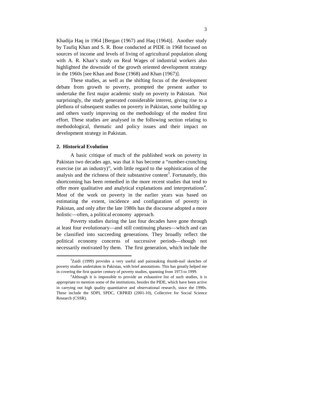Khadija Haq in 1964 [Bergan (1967) and Haq (1964)]. Another study by Taufiq Khan and S. R. Bose conducted at PIDE in 1968 focused on sources of income and levels of living of agricultural population along with A. R. Khan's study on Real Wages of industrial workers also highlighted the downside of the growth oriented development strategy in the 1960s [see Khan and Bose (1968) and Khan (1967)].

These studies, as well as the shifting focus of the development debate from growth to poverty, prompted the present author to undertake the first major academic study on poverty in Pakistan. Not surprisingly, the study generated considerable interest, giving rise to a plethora of subsequent studies on poverty in Pakistan, some building up and others vastly improving on the methodology of the modest first effort. These studies are analysed in the following section relating to methodological, thematic and policy issues and their impact on development strategy in Pakistan.

# **2. Historical Evolution**

 $\overline{a}$ 

A basic critique of much of the published work on poverty in Pakistan two decades ago, was that it has become a "number-crunching exercise (or an industry)", with little regard to the sophistication of the analysis and the richness of their substantive content<sup>3</sup>. Fortunately, this shortcoming has been remedied in the more recent studies that tend to offer more qualitative and analytical explanations and interpretations<sup>4</sup>. Most of the work on poverty in the earlier years was based on estimating the extent, incidence and configuration of poverty in Pakistan, and only after the late 1980s has the discourse adopted a more holistic—often, a political economy approach.

Poverty studies during the last four decades have gone through at least four evolutionary—and still continuing phases—which and can be classified into succeeding generations. They broadly reflect the political economy concerns of successive periods—though not necessarily motivated by them. The first generation, which include the

<sup>&</sup>lt;sup>3</sup>Zaidi (1999) provides a very useful and painstaking thumb-nail sketches of poverty studies undertaken in Pakistan, with brief annotations. This has greatly helped me in covering the first quarter century of poverty studies, spanning from 1973 to 1999.

<sup>&</sup>lt;sup>4</sup>Although it is impossible to provide an exhaustive list of such studies, it is appropriate to mention some of the institutions, besides the PIDE, which have been active in carrying out high quality quantitative and observational research, since the 1990s. These include the SDPI, SPDC, CRPRID (2001-10), Collective for Social Science Research (CSSR).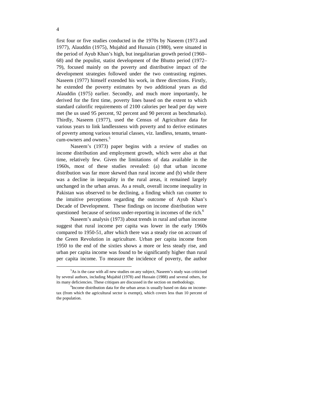first four or five studies conducted in the 1970s by Naseem (1973 and 1977), Alauddin (1975), Mujahid and Hussain (1980), were situated in the period of Ayub Khan's high, but inegalitarian growth period (1960– 68) and the populist, statist development of the Bhutto period (1972– 79), focused mainly on the poverty and distributive impact of the development strategies followed under the two contrasting regimes. Naseem (1977) himself extended his work, in three directions. Firstly, he extended the poverty estimates by two additional years as did Alauddin (1975) earlier. Secondly, and much more importantly, he derived for the first time, poverty lines based on the extent to which standard calorific requirements of 2100 calories per head per day were met (he us used 95 percent, 92 percent and 90 percent as benchmarks). Thirdly, Naseem (1977), used the Census of Agriculture data for various years to link landlessness with poverty and to derive estimates of poverty among various tenurial classes, viz. landless, tenants, tenantcum-owners and owners.<sup>5</sup>

Naseem's (1973) paper begins with a review of studies on income distribution and employment growth, which were also at that time, relatively few. Given the limitations of data available in the 1960s, most of these studies revealed: (a) that urban income distribution was far more skewed than rural income and (b) while there was a decline in inequality in the rural areas, it remained largely unchanged in the urban areas. As a result, overall income inequality in Pakistan was observed to be declining, a finding which ran counter to the intuitive perceptions regarding the outcome of Ayub Khan's Decade of Development. These findings on income distribution were questioned because of serious under-reporting in incomes of the rich.<sup>6</sup>

Naseem's analysis (1973) about trends in rural and urban income suggest that rural income per capita was lower in the early 1960s compared to 1950-51, after which there was a steady rise on account of the Green Revolution in agriculture. Urban per capita income from 1950 to the end of the sixties shows a more or less steady rise, and urban per capita income was found to be significantly higher than rural per capita income. To measure the incidence of poverty, the author

<sup>5</sup>As is the case with all new studies on any subject, Naseem's study was criticised by several authors, including Mujahid (1978) and Hussain (1988) and several others, for its many deficiencies. These critiques are discussed in the section on methodology.

<sup>&</sup>lt;sup>6</sup>Income distribution data for the urban areas is usually based on data on incometax (from which the agricultural sector is exempt), which covers less than 10 percent of the population.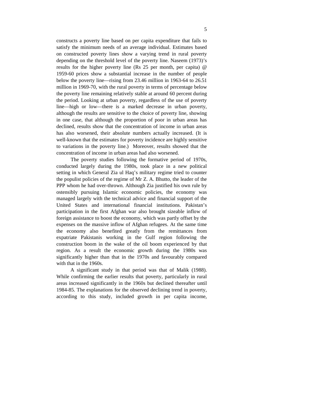constructs a poverty line based on per capita expenditure that fails to satisfy the minimum needs of an average individual. Estimates based on constructed poverty lines show a varying trend in rural poverty depending on the threshold level of the poverty line. Naseem (1973)'s results for the higher poverty line (Rs 25 per month, per capita) @ 1959-60 prices show a substantial increase in the number of people below the poverty line—rising from 23.46 million in 1963-64 to 26.51 million in 1969-70, with the rural poverty in terms of percentage below the poverty line remaining relatively stable at around 60 percent during the period. Looking at urban poverty, regardless of the use of poverty line—high or low—there is a marked decrease in urban poverty, although the results are sensitive to the choice of poverty line, showing in one case, that although the proportion of poor in urban areas has declined, results show that the concentration of income in urban areas has also worsened, their absolute numbers actually increased. (It is well-known that the estimates for poverty incidence are highly sensitive to variations in the poverty line.) Moreover, results showed that the concentration of income in urban areas had also worsened.

The poverty studies following the formative period of 1970s, conducted largely during the 1980s, took place in a new political setting in which General Zia ul Haq's military regime tried to counter the populist policies of the regime of Mr Z. A. Bhutto, the leader of the PPP whom he had over-thrown. Although Zia justified his own rule by ostensibly pursuing Islamic economic policies, the economy was managed largely with the technical advice and financial support of the United States and international financial institutions. Pakistan's participation in the first Afghan war also brought sizeable inflow of foreign assistance to boost the economy, which was partly offset by the expenses on the massive inflow of Afghan refugees. At the same time the economy also benefited greatly from the remittances from expatriate Pakistanis working in the Gulf region following the construction boom in the wake of the oil boom experienced by that region. As a result the economic growth during the 1980s was significantly higher than that in the 1970s and favourably compared with that in the 1960s.

A significant study in that period was that of Malik (1988). While confirming the earlier results that poverty, particularly in rural areas increased significantly in the 1960s but declined thereafter until 1984-85. The explanations for the observed declining trend in poverty, according to this study, included growth in per capita income,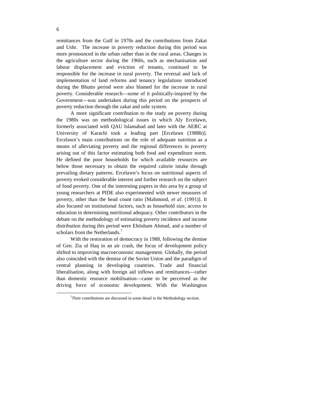remittances from the Gulf in 1970s and the contributions from Zakat and Ushr. The increase in poverty reduction during this period was more pronounced in the urban rather than in the rural areas. Changes in the agriculture sector during the 1960s, such as mechanisation and labour displacement and eviction of tenants, continued to be responsible for the increase in rural poverty. The reversal and lack of implementation of land reforms and tenancy legislations introduced during the Bhutto period were also blamed for the increase in rural poverty. Considerable research—some of it politically-inspired by the Government—was undertaken during this period on the prospects of poverty reduction through the zakat and ushr system.

A more significant contribution to the study on poverty during the 1980s was on methodological issues in which Aly Ercelawn, formerly associated with QAU Islamabad and later with the AERC at University of Karachi took a leading part [Ercelawn (1988b)]. Ercelawn's main contributions on the role of adequate nutrition as a means of alleviating poverty and the regional differences in poverty arising out of this factor estimating both food and expenditure norm. He defined the poor households for which available resources are below those necessary to obtain the required calorie intake through prevailing dietary patterns. Ercelawn's focus on nutritional aspects of poverty evoked considerable interest and further research on the subject of food poverty. One of the interesting papers in this area by a group of young researchers at PIDE also experimented with newer measures of poverty, other than the head count ratio [Mahmood, *et al*. (1991)]. It also focused on institutional factors, such as household size, access to education in determining nutritional adequacy. Other contributors in the debate on the methodology of estimating poverty incidence and income distribution during this period were Ehtisham Ahmad, and a number of scholars from the Netherlands.<sup>7</sup>

With the restoration of democracy in 1988, following the demise of Gen. Zia ul Haq in an air crash, the focus of development policy shifted to improving macroeconomic management. Globally, the period also coincided with the demise of the Soviet Union and the paradigm of central planning in developing countries. Trade and financial liberalisation, along with foreign aid inflows and remittances—rather than domestic resource mobilisation—came to be perceived as the driving force of economic development. With the Washington

 $7$ Their contributions are discussed in some detail in the Methodology section.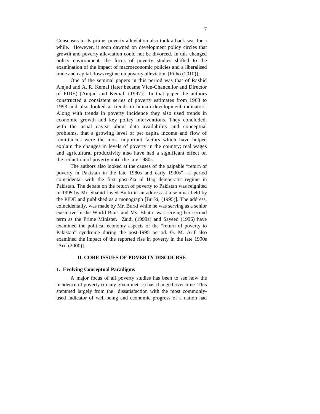Consensus in its prime, poverty alleviation also took a back seat for a while. However, it soon dawned on development policy circles that growth and poverty alleviation could not be divorced. In this changed policy environment, the focus of poverty studies shifted to the examination of the impact of macroeconomic policies and a liberalised trade and capital flows regime on poverty alleviation [Filho (2010)].

One of the seminal papers in this period was that of Rashid Amjad and A. R. Kemal (later became Vice-Chancellor and Director of PIDE) [Amjad and Kemal, (1997)]. In that paper the authors constructed a consistent series of poverty estimates from 1963 to 1993 and also looked at trends in human development indicators. Along with trends in poverty incidence they also used trends in economic growth and key policy interventions. They concluded, with the usual caveat about data availability and conceptual problems, that a growing level of per capita income and flow of remittances were the most important factors which have helped explain the changes in levels of poverty in the country; real wages and agricultural productivity also have had a significant effect on the reduction of poverty until the late 1980s.

The authors also looked at the causes of the palpable "return of poverty in Pakistan in the late 1980s and early 1990s"—a period coincidental with the first post-Zia ul Haq democratic regime in Pakistan. The debate on the return of poverty to Pakistan was reignited in 1995 by Mr. Shahid Javed Burki in an address at a seminar held by the PIDE and published as a monograph [Burki, (1995)]. The address, coincidentally, was made by Mr. Burki while he was serving as a senior executive in the World Bank and Ms. Bhutto was serving her second term as the Prime Minister. Zaidi (1999a) and Sayeed (1996) have examined the political economy aspects of the "return of poverty to Pakistan" syndrome during the post-1995 period. G. M. Arif also examined the impact of the reported rise in poverty in the late 1990s [Arif (2000)].

# **II. CORE ISSUES OF POVERTY DISCOURSE**

### **1. Evolving Conceptual Paradigms**

A major focus of all poverty studies has been to see how the incidence of poverty (in any given metric) has changed over time. This stemmed largely from the dissatisfaction with the most commonlyused indicator of well-being and economic progress of a nation had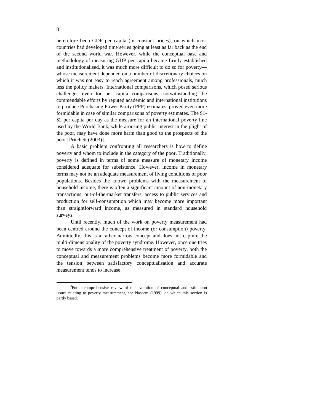heretofore been GDP per capita (in constant prices), on which most countries had developed time series going at least as far back as the end of the second world war. However, while the conceptual base and methodology of measuring GDP per capita became firmly established and institutionalised, it was much more difficult to do so for poverty whose measurement depended on a number of discretionary choices on which it was not easy to reach agreement among professionals, much less the policy makers. International comparisons, which posed serious challenges even for per capita comparisons, notwithstanding the commendable efforts by reputed academic and international institutions to produce Purchasing Power Parity (PPP) estimates, proved even more formidable in case of similar comparisons of poverty estimates. The \$1- \$2 per capita per day as the measure for an international poverty line used by the World Bank, while arousing public interest in the plight of the poor, may have done more harm than good to the prospects of the poor [Pritchett (2003)].

A basic problem confronting all researchers is how to define poverty and whom to include in the category of the poor. Traditionally, poverty is defined in terms of some measure of monetary income considered adequate for subsistence. However, income in monetary terms may not be an adequate measurement of living conditions of poor populations. Besides the known problems with the measurement of household income, there is often a significant amount of non-monetary transactions, out-of-the-market transfers, access to public services and production for self-consumption which may become more important than straightforward income, as measured in standard household surveys.

Until recently, much of the work on poverty measurement had been centred around the concept of income (or consumption) poverty. Admittedly, this is a rather narrow concept and does not capture the multi-dimensionality of the poverty syndrome. However, once one tries to move towards a more comprehensive treatment of poverty, both the conceptual and measurement problems become more formidable and the tension between satisfactory conceptualisation and accurate measurement tends to increase.<sup>8</sup>

<sup>&</sup>lt;sup>8</sup>For a comprehensive review of the evolution of conceptual and estimation issues relating to poverty measurement, see Naseem (1999), on which this section is partly based.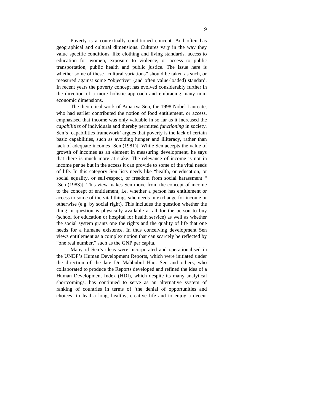Poverty is a contextually conditioned concept. And often has geographical and cultural dimensions. Cultures vary in the way they value specific conditions, like clothing and living standards, access to education for women, exposure to violence, or access to public transportation, public health and public justice. The issue here is whether some of these "cultural variations" should be taken as such, or measured against some "objective" (and often value-loaded) standard. In recent years the poverty concept has evolved considerably further in the direction of a more holistic approach and embracing many noneconomic dimensions.

The theoretical work of Amartya Sen, the 1998 Nobel Laureate, who had earlier contributed the notion of food entitlement, or access, emphasised that income was only valuable in so far as it increased the *capabilities* of individuals and thereby permitted *functioning* in society. Sen's 'capabilities framework' argues that poverty is the lack of certain basic capabilities, such as avoiding hunger and illiteracy, rather than lack of adequate incomes [Sen (1981)]. While Sen accepts the value of growth of incomes as an element in measuring development, he says that there is much more at stake. The relevance of income is not in income per se but in the access it can provide to some of the vital needs of life. In this category Sen lists needs like "health, or education, or social equality, or self-respect, or freedom from social harassment " [Sen (1983)]. This view makes Sen move from the concept of income to the concept of entitlement, i.e. whether a person has entitlement or access to some of the vital things s/he needs in exchange for income or otherwise (e.g. by social right). This includes the question whether the thing in question is physically available at all for the person to buy (school for education or hospital for health service) as well as whether the social system grants one the rights and the quality of life that one needs for a humane existence. In thus conceiving development Sen views entitlement as a complex notion that can scarcely be reflected by "one real number," such as the GNP per capita.

Many of Sen's ideas were incorporated and operationalised in the UNDP's Human Development Reports, which were initiated under the direction of the late Dr Mahbubul Haq. Sen and others, who collaborated to produce the Reports developed and refined the idea of a Human Development Index (HDI), which despite its many analytical shortcomings, has continued to serve as an alternative system of ranking of countries in terms of 'the denial of opportunities and choices' to lead a long, healthy, creative life and to enjoy a decent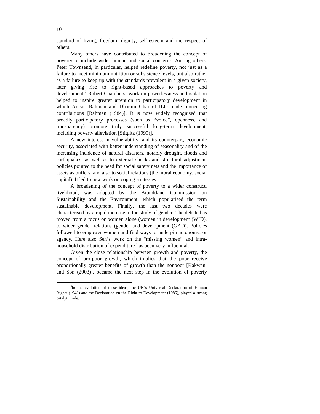standard of living, freedom, dignity, self-esteem and the respect of others.

Many others have contributed to broadening the concept of poverty to include wider human and social concerns. Among others, Peter Townsend, in particular, helped redefine poverty, not just as a failure to meet minimum nutrition or subsistence levels, but also rather as a failure to keep up with the standards prevalent in a given society, later giving rise to right-based approaches to poverty and development.<sup>9</sup> Robert Chambers' work on powerlessness and isolation helped to inspire greater attention to participatory development in which Anisur Rahman and Dharam Ghai of ILO made pioneering contributions [Rahman (1984)]. It is now widely recognised that broadly participatory processes (such as "voice", openness, and transparency) promote truly successful long-term development, including poverty alleviation [Stiglitz (1999)].

A new interest in vulnerability, and its counterpart, economic security, associated with better understanding of seasonality and of the increasing incidence of natural disasters, notably drought, floods and earthquakes, as well as to external shocks and structural adjustment policies pointed to the need for social safety nets and the importance of assets as buffers, and also to social relations (the moral economy, social capital). It led to new work on coping strategies.

A broadening of the concept of poverty to a wider construct, livelihood, was adopted by the Brundtland Commission on Sustainability and the Environment, which popularised the term sustainable development. Finally, the last two decades were characterised by a rapid increase in the study of gender. The debate has moved from a focus on women alone (women in development (WID), to wider gender relations (gender and development (GAD). Policies followed to empower women and find ways to underpin autonomy, or agency. Here also Sen's work on the "missing women" and intrahousehold distribution of expenditure has been very influential.

Given the close relationship between growth and poverty, the concept of pro-poor growth, which implies that the poor receive proportionally greater benefits of growth than the nonpoor [Kakwani and Son (2003)], became the next step in the evolution of poverty

<sup>&</sup>lt;sup>9</sup>In the evolution of these ideas, the UN's Universal Declaration of Human Rights (1948) and the Declaration on the Right to Development (1986), played a strong catalytic role.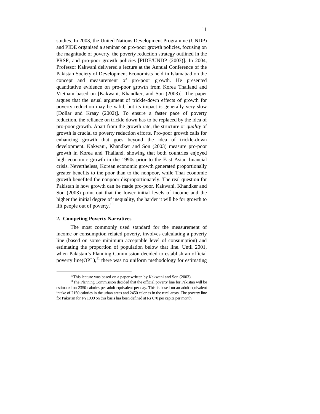studies. In 2003, the United Nations Development Programme (UNDP) and PIDE organised a seminar on pro-poor growth policies, focusing on the magnitude of poverty, the poverty reduction strategy outlined in the PRSP, and pro-poor growth policies [PIDE/UNDP (2003)]. In 2004, Professor Kakwani delivered a lecture at the Annual Conference of the Pakistan Society of Development Economists held in Islamabad on the concept and measurement of pro-poor growth. He presented quantitative evidence on pro-poor growth from Korea Thailand and Vietnam based on [Kakwani, Khandker, and Son (2003)]. The paper argues that the usual argument of trickle-down effects of growth for poverty reduction may be valid, but its impact is generally very slow [Dollar and Kraay (2002)]. To ensure a faster pace of poverty reduction, the reliance on trickle down has to be replaced by the idea of pro-poor growth. Apart from the growth rate, the structure or *quality* of growth is crucial to poverty reduction efforts. Pro-poor growth calls for enhancing growth that goes beyond the idea of trickle-down development. Kakwani, Khandker and Son (2003) measure pro-poor growth in Korea and Thailand, showing that both countries enjoyed high economic growth in the 1990s prior to the East Asian financial crisis. Nevertheless, Korean economic growth generated proportionally greater benefits to the poor than to the nonpoor, while Thai economic growth benefited the nonpoor disproportionately. The real question for Pakistan is how growth can be made pro-poor. Kakwani, Khandker and Son (2003) point out that the lower initial levels of income and the higher the initial degree of inequality, the harder it will be for growth to lift people out of poverty. $10$ 

# **2. Competing Poverty Narratives**

 $\overline{a}$ 

The most commonly used standard for the measurement of income or consumption related poverty, involves calculating a poverty line (based on some minimum acceptable level of consumption) and estimating the proportion of population below that line. Until 2001, when Pakistan's Planning Commission decided to establish an official poverty line( $OPL$ ),<sup>11</sup> there was no uniform methodology for estimating

 $10$ This lecture was based on a paper written by Kakwani and Son (2003).

<sup>&</sup>lt;sup>11</sup>The Planning Commission decided that the official poverty line for Pakistan will be estimated on 2350 calories per adult equivalent per day. This is based on an adult equivalent intake of 2150 calories in the urban areas and 2450 calories in the rural areas. The poverty line for Pakistan for FY1999 on this basis has been defined at Rs 670 per capita per month.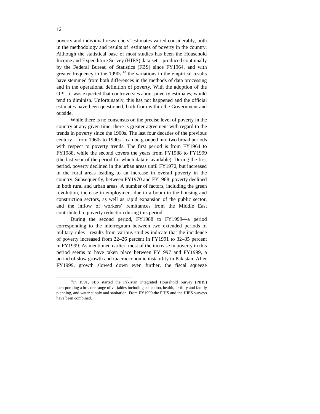poverty and individual researchers' estimates varied considerably, both in the methodology and results of estimates of poverty in the country. Although the statistical base of most studies has been the Household Income and Expenditure Survey (HIES) data set—produced continually by the Federal Bureau of Statistics (FBS) since FY1964, and with greater frequency in the  $1990s$ ,<sup>12</sup> the variations in the empirical results have stemmed from both differences in the methods of data processing and in the operational definition of poverty. With the adoption of the OPL, it was expected that controversies about poverty estimates, would tend to diminish. Unfortunately, this has not happened and the official estimates have been questioned, both from within the Government and outside.

While there is no consensus on the precise level of poverty in the country at any given time, there is greater agreement with regard to the trends in poverty since the 1960s. The last four decades of the previous century—from 1960s to 1990s—can be grouped into two broad periods with respect to poverty trends. The first period is from FY1964 to FY1988, while the second covers the years from FY1988 to FY1999 (the last year of the period for which data is available). During the first period, poverty declined in the urban areas until FY1970, but increased in the rural areas leading to an increase in overall poverty in the country. Subsequently, between FY1970 and FY1988, poverty declined in both rural and urban areas. A number of factors, including the green revolution, increase in employment due to a boom in the housing and construction sectors, as well as rapid expansion of the public sector, and the inflow of workers' remittances from the Middle East contributed to poverty reduction during this period.

During the second period, FY1988 to FY1999—a period corresponding to the interregnum between two extended periods of military rules—results from various studies indicate that the incidence of poverty increased from 22–26 percent in FY1991 to 32–35 percent in FY1999. As mentioned earlier, most of the increase in poverty in this period seems to have taken place between FY1997 and FY1999, a period of slow growth and macroeconomic instability in Pakistan. After FY1999, growth slowed down even further, the fiscal squeeze

<sup>&</sup>lt;sup>12</sup>In 1991, FBS started the Pakistan Integrated Household Survey (PIHS) incorporating a broader range of variables including education, health, fertility and family planning, and water supply and sanitation. From FY1999 the PIHS and the HIES surveys have been combined.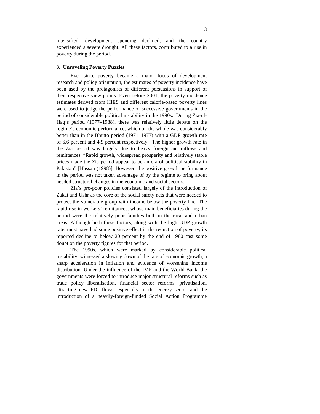intensified, development spending declined, and the country experienced a severe drought. All these factors, contributed to a rise in poverty during the period.

#### **3. Unraveling Poverty Puzzles**

Ever since poverty became a major focus of development research and policy orientation, the estimates of poverty incidence have been used by the protagonists of different persuasions in support of their respective view points. Even before 2001, the poverty incidence estimates derived from HIES and different calorie-based poverty lines were used to judge the performance of successive governments in the period of considerable political instability in the 1990s. During Zia-ul-Haq's period (1977–1988), there was relatively little debate on the regime's economic performance, which on the whole was considerably better than in the Bhutto period (1971–1977) with a GDP growth rate of 6.6 percent and 4.9 percent respectively. The higher growth rate in the Zia period was largely due to heavy foreign aid inflows and remittances. "Rapid growth, widespread prosperity and relatively stable prices made the Zia period appear to be an era of political stability in Pakistan" [Hassan (1998)]. However, the positive growth performance in the period was not taken advantage of by the regime to bring about needed structural changes in the economic and social sectors.

Zia's pro-poor policies consisted largely of the introduction of Zakat and Ushr as the core of the social safety nets that were needed to protect the vulnerable group with income below the poverty line. The rapid rise in workers' remittances, whose main beneficiaries during the period were the relatively poor families both in the rural and urban areas. Although both these factors, along with the high GDP growth rate, must have had some positive effect in the reduction of poverty, its reported decline to below 20 percent by the end of 1980 cast some doubt on the poverty figures for that period.

The 1990s, which were marked by considerable political instability, witnessed a slowing down of the rate of economic growth, a sharp acceleration in inflation and evidence of worsening income distribution. Under the influence of the IMF and the World Bank, the governments were forced to introduce major structural reforms such as trade policy liberalisation, financial sector reforms, privatisation, attracting new FDI flows, especially in the energy sector and the introduction of a heavily-foreign-funded Social Action Programme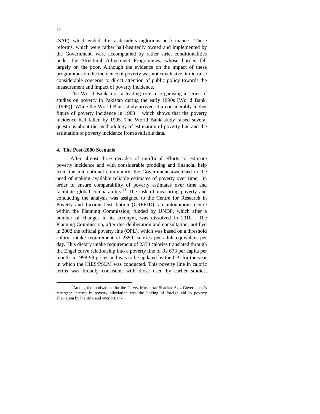(SAP), which ended after a decade's inglorious performance. These reforms, which were rather half-heartedly owned and implemented by the Government, were accompanied by rather strict conditionalities under the Structural Adjustment Programmes, whose burden fell largely on the poor. Although the evidence on the impact of these programmes on the incidence of poverty was not conclusive, it did raise considerable concerns to direct attention of public policy towards the measurement and impact of poverty incidence.

The World Bank took a leading role in organising a series of studies on poverty in Pakistan during the early 1990s [World Bank, (1995)]. While the World Bank study arrived at a considerably higher figure of poverty incidence in 1988 which shows that the poverty incidence had fallen by 1995. The World Bank study raised several questions about the methodology of estimation of poverty line and the estimation of poverty incidence from available data.

### **4. The Post-2000 Scenario**

After almost three decades of unofficial efforts to estimate poverty incidence and with considerable prodding and financial help from the international community, the Government awakened to the need of making available reliable estimates of poverty over time, in order to ensure comparability of poverty estimates over time and facilitate global comparability.<sup>13</sup> The task of measuring poverty and conducting the analysis was assigned to the Centre for Research in Poverty and Income Distribution (CRPRID), an autonomous centre within the Planning Commission, funded by UNDP, which after a number of changes in its acronym, was dissolved in 2010. The Planning Commission, after due deliberation and consultation, notified in 2002 the official poverty line (OPL), which was based on a threshold caloric intake requirement of 2350 calories per adult equivalent per day. This dietary intake requirement of 2350 calories translated through the Engel curve relationship into a poverty line of Rs 673 per capita per month in 1998-99 prices and was to be updated by the CPI for the year in which the HIES/PSLM was conducted. This poverty line in caloric terms was broadly consistent with those used by earlier studies,

<sup>&</sup>lt;sup>13</sup>Among the motivations for the Pervez Musharraf-Shaukat Aziz Government's resurgent interest in poverty alleviation was the linking of foreign aid to poverty alleviation by the IMF and World Bank.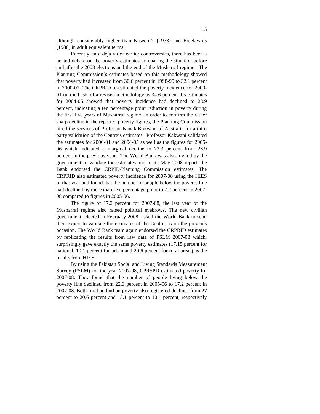although considerably higher than Naseem's (1973) and Ercelawn's (1988) in adult equivalent terms.

Recently, in a déjà vu of earlier controversies, there has been a heated debate on the poverty estimates comparing the situation before and after the 2008 elections and the end of the Musharraf regime. The Planning Commission's estimates based on this methodology showed that poverty had increased from 30.6 percent in 1998-99 to 32.1 percent in 2000-01. The CRPRID re-estimated the poverty incidence for 2000- 01 on the basis of a revised methodology as 34.6 percent. Its estimates for 2004-05 showed that poverty incidence had declined to 23.9 percent, indicating a ten percentage point reduction in poverty during the first five years of Musharraf regime. In order to confirm the rather sharp decline in the reported poverty figures, the Planning Commission hired the services of Professor Nanak Kakwani of Australia for a third party validation of the Centre's estimates. Professor Kakwani validated the estimates for 2000-01 and 2004-05 as well as the figures for 2005- 06 which indicated a marginal decline to 22.3 percent from 23.9 percent in the previous year. The World Bank was also invited by the government to validate the estimates and in its May 2008 report, the Bank endorsed the CRPID/Planning Commission estimates. The CRPRID also estimated poverty incidence for 2007-08 using the HIES of that year and found that the number of people below the poverty line had declined by more than five percentage point to 7.2 percent in 2007- 08 compared to figures in 2005-06.

The figure of 17.2 percent for 2007-08, the last year of the Musharraf regime also raised political eyebrows. The new civilian government, elected in February 2008, asked the World Bank to send their expert to validate the estimates of the Centre, as on the previous occasion. The World Bank team again endorsed the CRPRID estimates by replicating the results from raw data of PSLM 2007-08 which, surprisingly gave exactly the same poverty estimates (17.15 percent for national, 10.1 percent for urban and 20.6 percent for rural areas) as the results from HIES.

By using the Pakistan Social and Living Standards Measurement Survey (PSLM) for the year 2007-08, CPRSPD estimated poverty for 2007-08. They found that the number of people living below the poverty line declined from 22.3 percent in 2005-06 to 17.2 percent in 2007-08. Both rural and urban poverty also registered declines from 27 percent to 20.6 percent and 13.1 percent to 10.1 percent, respectively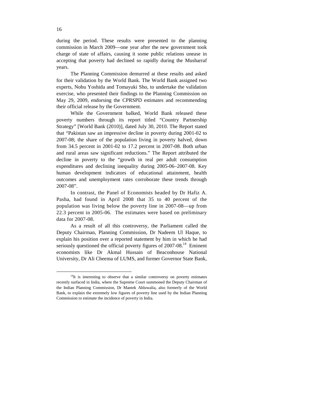during the period. These results were presented to the planning commission in March 2009—one year after the new government took charge of state of affairs, causing it some public relations unease in accepting that poverty had declined so rapidly during the Musharraf years.

The Planning Commission demurred at these results and asked for their validation by the World Bank. The World Bank assigned two experts, Nobu Yoshida and Tomayuki Sho, to undertake the validation exercise, who presented their findings to the Planning Commission on May 29, 2009, endorsing the CPRSPD estimates and recommending their official release by the Government.

While the Government balked, World Bank released these poverty numbers through its report titled "Country Partnership Strategy" [World Bank (2010)], dated July 30, 2010. The Report stated that "Pakistan saw an impressive decline in poverty during 2001-02 to 2007-08; the share of the population living in poverty halved, down from 34.5 percent in 2001-02 to 17.2 percent in 2007-08. Both urban and rural areas saw significant reductions." The Report attributed the decline in poverty to the "growth in real per adult consumption expenditures and declining inequality during 2005-06–2007-08. Key human development indicators of educational attainment, health outcomes and unemployment rates corroborate these trends through 2007-08".

In contrast, the Panel of Economists headed by Dr Hafiz A. Pasha, had found in April 2008 that 35 to 40 percent of the population was living below the poverty line in 2007-08—up from 22.3 percent in 2005-06. The estimates were based on preliminary data for 2007-08.

As a result of all this controversy, the Parliament called the Deputy Chairman, Planning Commission, Dr Nadeem Ul Haque, to explain his position over a reported statement by him in which he had seriously questioned the official poverty figures of 2007-08.<sup>14</sup> Eminent economists like Dr Akmal Hussain of Beaconhouse National University, Dr Ali Cheema of LUMS, and former Governor State Bank,

<sup>&</sup>lt;sup>14</sup>It is interesting to observe that a similar controversy on poverty estimates recently surfaced in India, where the Supreme Court summoned the Deputy Chairman of the Indian Planning Commission, Dr Mantek Ahluwalia, also formerly of the World Bank, to explain the extremely low figures of poverty line used by the Indian Planning Commission to estimate the incidence of poverty in India.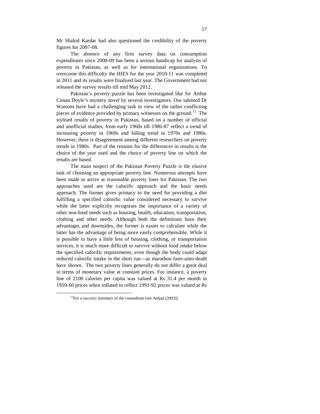Mr Shahid Kardar had also questioned the credibility of the poverty figures for 2007-08.

The absence of any firm survey data on consumption expenditures since 2008-09 has been a serious handicap for analysts of poverty in Pakistan, as well as for international organisations. To overcome this difficulty the HIES for the year 2010-11 was completed in 2011 and its results were finalised last year. The Government had not released the survey results till mid May 2012.

Pakistan's poverty puzzle has been investigated like Sir Arthur Conan Doyle's mystery novel by several investigators. Our talented Dr Watsons have had a challenging task in view of the rather conflicting pieces of evidence provided by primary witnesses on the ground.<sup>15</sup> The stylised results of poverty in Pakistan, based on a number of official and unofficial studies, from early 1960s till 1986-87 reflect a trend of increasing poverty in 1960s and falling trend in 1970s and 1980s. However, there is disagreement among different researchers on poverty trends in 1980s. Part of the reasons for the differences in results is the choice of the year used and the choice of poverty line on which the results are based.

The main suspect of the Pakistan Poverty Puzzle is the elusive task of choosing an appropriate poverty line. Numerous attempts have been made to arrive at reasonable poverty lines for Pakistan. The two approaches used are the calorific approach and the basic needs approach. The former gives primacy to the need for providing a diet fulfilling a specified calorific value considered necessary to survive while the latter explicitly recognises the importance of a variety of other non-food needs such as housing, health, education, transportation, clothing and other needs. Although both the definitions have their advantages and downsides, the former is easier to calculate while the latter has the advantage of being more easily comprehensible. While it is possible to have a little less of housing, clothing, or transportation services, it is much more difficult to survive without food intake below the specified calorific requirements, even though the body could adapt reduced calorific intake in the short run—as marathon fasts-unto-death have shown. The two poverty lines generally do not differ a great deal in terms of monetary value at constant prices. For instance, a poverty line of 2100 calories per capita was valued at Rs 31.4 per month in 1959-60 prices when inflated to reflect 1991-92 prices was valued at Rs

<sup>&</sup>lt;sup>15</sup>For a succinct summary of the conundrum [see Amjad  $(2003)$ ].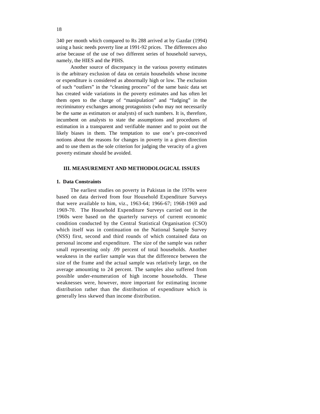340 per month which compared to Rs 288 arrived at by Gazdar (1994) using a basic needs poverty line at 1991-92 prices. The differences also arise because of the use of two different series of household surveys, namely, the HIES and the PIHS.

Another source of discrepancy in the various poverty estimates is the arbitrary exclusion of data on certain households whose income or expenditure is considered as abnormally high or low. The exclusion of such "outliers" in the "cleaning process" of the same basic data set has created wide variations in the poverty estimates and has often let them open to the charge of "manipulation" and "fudging" in the recriminatory exchanges among protagonists (who may not necessarily be the same as estimators or analysts) of such numbers. It is, therefore, incumbent on analysts to state the assumptions and procedures of estimation in a transparent and verifiable manner and to point out the likely biases in them. The temptation to use one's pre-conceived notions about the reasons for changes in poverty in a given direction and to use them as the sole criterion for judging the veracity of a given poverty estimate should be avoided.

#### **III. MEASUREMENT AND METHODOLOGICAL ISSUES**

# **1. Data Constraints**

The earliest studies on poverty in Pakistan in the 1970s were based on data derived from four Household Expenditure Surveys that were available to him, viz., 1963-64; 1966-67; 1968-1969 and 1969-70. The Household Expenditure Surveys carried out in the 1960s were based on the quarterly surveys of current economic condition conducted by the Central Statistical Organisation (CSO) which itself was in continuation on the National Sample Survey (NSS) first, second and third rounds of which contained data on personal income and expenditure. The size of the sample was rather small representing only .09 percent of total households. Another weakness in the earlier sample was that the difference between the size of the frame and the actual sample was relatively large, on the average amounting to 24 percent. The samples also suffered from possible under-enumeration of high income households. These weaknesses were, however, more important for estimating income distribution rather than the distribution of expenditure which is generally less skewed than income distribution.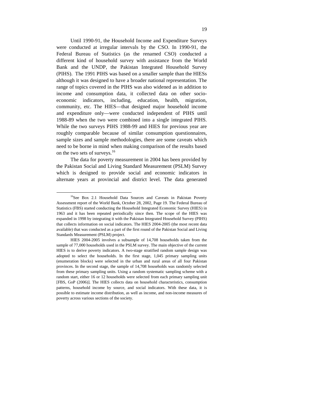Until 1990-91, the Household Income and Expenditure Surveys were conducted at irregular intervals by the CSO. In 1990-91, the Federal Bureau of Statistics (as the renamed CSO) conducted a different kind of household survey with assistance from the World Bank and the UNDP, the Pakistan Integrated Household Survey (PIHS). The 1991 PIHS was based on a smaller sample than the HIESs although it was designed to have a broader national representation. The range of topics covered in the PIHS was also widened as in addition to income and consumption data, it collected data on other socioeconomic indicators, including, education, health, migration, community, etc. The HIES—that designed major household income and expenditure only—were conducted independent of PIHS until 1988-89 when the two were combined into a single integrated PIHS. While the two surveys PIHS 1988-99 and HIES for previous year are roughly comparable because of similar consumption questionnaires, sample sizes and sample methodologies, there are some caveats which need to be borne in mind when making comparison of the results based on the two sets of surveys.<sup>16</sup>

The data for poverty measurement in 2004 has been provided by the Pakistan Social and Living Standard Measurement (PSLM) Survey which is designed to provide social and economic indicators in alternate years at provincial and district level. The data generated

<sup>&</sup>lt;sup>16</sup>See Box 2.1 Household Data Sources and Caveats in Pakistan Poverty Assessment report of the World Bank, October 28, 2002, Page 19. The Federal Bureau of Statistics (FBS) started conducting the Household Integrated Economic Survey (HIES) in 1963 and it has been repeated periodically since then. The scope of the HIES was expanded in 1998 by integrating it with the Pakistan Integrated Household Survey (PIHS) that collects information on social indicators. The HIES 2004-2005 (the most recent data available) that was conducted as a part of the first round of the Pakistan Social and Living Standards Measurement (PSLM) project.

HIES 2004-2005 involves a subsample of 14,708 households taken from the sample of 77,000 households used in the PSLM survey. The main objective of the current HIES is to derive poverty indicators. A two-stage stratified random sample design was adopted to select the households. In the first stage, 1,045 primary sampling units (enumeration blocks) were selected in the urban and rural areas of all four Pakistan provinces. In the second stage, the sample of 14,708 households was randomly selected from these primary sampling units. Using a random systematic sampling scheme with a random start, either 16 or 12 households were selected from each primary sampling unit [FBS, GoP (2006)]. The HIES collects data on household characteristics, consumption patterns, household income by source, and social indicators. With these data, it is possible to estimate income distribution, as well as income, and non-income measures of poverty across various sections of the society.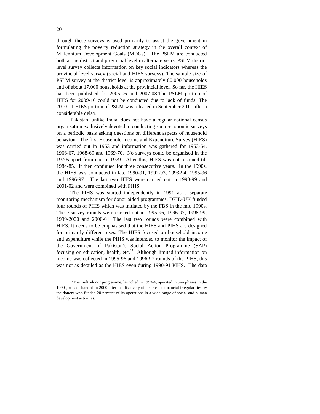through these surveys is used primarily to assist the government in formulating the poverty reduction strategy in the overall context of Millennium Development Goals (MDGs). The PSLM are conducted both at the district and provincial level in alternate years. PSLM district level survey collects information on key social indicators whereas the provincial level survey (social and HIES surveys). The sample size of PSLM survey at the district level is approximately 80,000 households and of about 17,000 households at the provincial level. So far, the HIES has been published for 2005-06 and 2007-08.The PSLM portion of HIES for 2009-10 could not be conducted due to lack of funds. The 2010-11 HIES portion of PSLM was released in September 2011 after a considerable delay.

Pakistan, unlike India, does not have a regular national census organisation exclusively devoted to conducting socio-economic surveys on a periodic basis asking questions on different aspects of household behaviour. The first Household Income and Expenditure Survey (HIES) was carried out in 1963 and information was gathered for 1963-64, 1966-67, 1968-69 and 1969-70. No surveys could be organised in the 1970s apart from one in 1979. After this, HIES was not resumed till 1984-85. It then continued for three consecutive years. In the 1990s, the HIES was conducted in late 1990-91, 1992-93, 1993-94, 1995-96 and 1996-97. The last two HIES were carried out in 1998-99 and 2001-02 and were combined with PIHS.

The PIHS was started independently in 1991 as a separate monitoring mechanism for donor aided programmes. DFID-UK funded four rounds of PIHS which was initiated by the FBS in the mid 1990s. These survey rounds were carried out in 1995-96, 1996-97, 1998-99; 1999-2000 and 2000-01. The last two rounds were combined with HIES. It needs to be emphasised that the HIES and PIHS are designed for primarily different uses. The HIES focused on household income and expenditure while the PIHS was intended to monitor the impact of the Government of Pakistan's Social Action Programme (SAP) focusing on education, health, etc.<sup>17</sup> Although limited information on income was collected in 1995-96 and 1996-97 rounds of the PIHS, this was not as detailed as the HIES even during 1990-91 PIHS. The data

<sup>&</sup>lt;sup>17</sup>The multi-donor programme, launched in 1993-4, operated in two phases in the 1990s, was disbanded in 2000 after the discovery of a series of financial irregularities by the donors who funded 20 percent of its operations in a wide range of social and human development activities.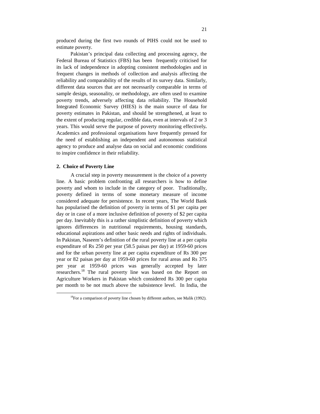produced during the first two rounds of PIHS could not be used to estimate poverty.

Pakistan's principal data collecting and processing agency, the Federal Bureau of Statistics (FBS) has been frequently criticised for its lack of independence in adopting consistent methodologies and in frequent changes in methods of collection and analysis affecting the reliability and comparability of the results of its survey data. Similarly, different data sources that are not necessarily comparable in terms of sample design, seasonality, or methodology, are often used to examine poverty trends, adversely affecting data reliability. The Household Integrated Economic Survey (HIES) is the main source of data for poverty estimates in Pakistan, and should be strengthened, at least to the extent of producing regular, credible data, even at intervals of 2 or 3 years. This would serve the purpose of poverty monitoring effectively*.* Academics and professional organisations have frequently pressed for the need of establishing an independent and autonomous statistical agency to produce and analyse data on social and economic conditions to inspire confidence in their reliability.

### **2. Choice of Poverty Line**

 $\overline{a}$ 

A crucial step in poverty measurement is the choice of a poverty line. A basic problem confronting all researchers is how to define poverty and whom to include in the category of poor. Traditionally, poverty defined in terms of some monetary measure of income considered adequate for persistence. In recent years, The World Bank has popularised the definition of poverty in terms of \$1 per capita per day or in case of a more inclusive definition of poverty of \$2 per capita per day. Inevitably this is a rather simplistic definition of poverty which ignores differences in nutritional requirements, housing standards, educational aspirations and other basic needs and rights of individuals. In Pakistan, Naseem's definition of the rural poverty line at a per capita expenditure of Rs 250 per year (58.5 paisas per day) at 1959-60 prices and for the urban poverty line at per capita expenditure of Rs 300 per year or 82 paisas per day at 1959-60 prices for rural areas and Rs 375 per year at 1959-60 prices was generally accepted by later researchers.<sup>18</sup> The rural poverty line was based on the Report on Agriculture Workers in Pakistan which considered Rs 300 per capita per month to be not much above the subsistence level. In India, the

 $18$ For a comparison of poverty line chosen by different authors, see Malik (1992).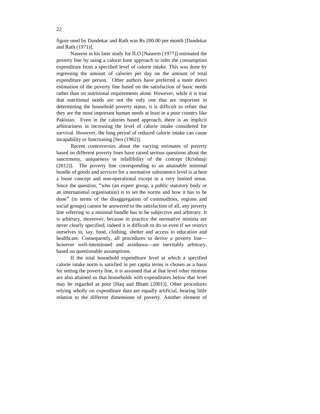figure used by Dandekar and Rath was Rs 200.00 per month [Dandekar and Rath (1971)].

Naseem in his later study for ILO [Naseem (1977)] estimated the poverty line by using a calorie base approach to infer the consumption expenditure from a specified level of calorie intake. This was done by regressing the amount of calories per day on the amount of total expenditure per person. Other authors have preferred a more direct estimation of the poverty line based on the satisfaction of basic needs rather than on nutritional requirements alone. However, while it is true that nutritional needs are not the only one that are important in determining the household poverty status, it is difficult to refute that they are the most important human needs at least in a poor country like Pakistan. Even in the calories based approach, there is an implicit arbitrariness in increasing the level of calorie intake considered for survival. However, the long period of reduced calorie intake can cause incapability or functioning [Sen (1982)].

Recent controversies about the varying estimates of poverty based on different poverty lines have raised serious questions about the sanctimony, uniqueness or infallibility of the concept [Krishnaji (2012)]. The poverty line corresponding to an attainable minimal bundle of goods and services for a normative subsistence level is at best a loose concept and non-operational except in a very limited sense. Since the question, "who (an expert group, a public statutory body or an international organisation) is to set the norms and how it has to be done" (in terms of the disaggregation of commodities, regions and social groups) cannot be answered to the satisfaction of all, any poverty line referring to a minimal bundle has to be subjective and arbitrary. It is arbitrary, moreover, because in practice the normative minima are never clearly specified; indeed it is difficult to do so even if we restrict ourselves to, say, food, clothing, shelter and access to education and healthcare. Consequently, all procedures to derive a poverty line however well-intentioned and assiduous—are inevitably arbitrary, based on questionable assumptions.

If the total household expenditure level at which a specified calorie intake norm is satisfied in per capita terms is chosen as a basis for setting the poverty line, it is assumed that at that level other minima are also attained so that households with expenditures below that level may be regarded as poor [Haq and Bhatti (2001)]. Other procedures relying wholly on expenditure data are equally artificial, bearing little relation to the different dimensions of poverty. Another element of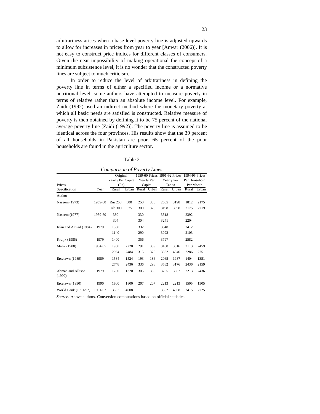arbitrariness arises when a base level poverty line is adjusted upwards to allow for increases in prices from year to year [Anwar (2006)]. It is not easy to construct price indices for different classes of consumers. Given the near impossibility of making operational the concept of a minimum subsistence level, it is no wonder that the constructed poverty lines are subject to much criticism.

In order to reduce the level of arbitrariness in defining the poverty line in terms of either a specified income or a normative nutritional level, some authors have attempted to measure poverty in terms of relative rather than an absolute income level. For example, Zaidi (1992) used an indirect method where the monetary poverty at which all basic needs are satisfied is constructed. Relative measure of poverty is then obtained by defining it to be 75 percent of the national average poverty line [Zaidi (1992)]. The poverty line is assumed to be identical across the four provinces. His results show that the 39 percent of all households in Pakistan are poor. 65 percent of the poor households are found in the agriculture sector.

| ٩ |  |
|---|--|
|   |  |

| Comparison of Poverty Lines |         |                                       |       |     |                      |       |                      |                                                                            |       |
|-----------------------------|---------|---------------------------------------|-------|-----|----------------------|-------|----------------------|----------------------------------------------------------------------------|-------|
| Prices                      |         | Original<br>Yearly Per Capita<br>(Rs) |       |     | Yearly Per<br>Capita |       | Yearly Per<br>Capita | 1959-60 Prices 1991-92 Prices 1994-95 Prices<br>Per Household<br>Per Month |       |
| Specification               | Year    | Rural                                 | Urban |     | Rural Urban          | Rural | Urban                | Rural                                                                      | Urban |
| Author                      |         |                                       |       |     |                      |       |                      |                                                                            |       |
| Naseem (1973)               | 1959-60 | <b>Rur 250</b>                        | 300   | 250 | 300                  | 2665  | 3198                 | 1812                                                                       | 2175  |
|                             |         | Urb 300                               | 375   | 300 | 375                  | 3198  | 3998                 | 2175                                                                       | 2719  |
| Naseem (1977)               | 1959-60 | 330                                   |       | 330 |                      | 3518  |                      | 2392                                                                       |       |
|                             |         | 304                                   |       | 304 |                      | 3241  |                      | 2204                                                                       |       |
| Irfan and Amjad (1984)      | 1979    | 1308                                  |       | 332 |                      | 3548  |                      | 2412                                                                       |       |
|                             |         | 1140                                  |       | 290 |                      | 3092  |                      | 2103                                                                       |       |
| Kruijk (1985)               | 1979    | 1400                                  |       | 356 |                      | 3797  |                      | 2582                                                                       |       |
| Malik (1988)                | 1984-85 | 1908                                  | 2220  | 291 | 339                  | 3108  | 3616                 | 2113                                                                       | 2459  |
|                             |         | 2064                                  | 2484  | 315 | 379                  | 3362  | 4046                 | 2286                                                                       | 2751  |
| Ercelawn (1989)             | 1989    | 1584                                  | 1524  | 193 | 186                  | 2065  | 1987                 | 1404                                                                       | 1351  |
|                             |         | 2748                                  | 2436  | 336 | 298                  | 3582  | 3176                 | 2436                                                                       | 2159  |
| Ahmad and Allison<br>(1990) | 1979    | 1200                                  | 1320  | 305 | 335                  | 3255  | 3582                 | 2213                                                                       | 2436  |
| Ercelawn (1990)             | 1990    | 1800                                  | 1800  | 207 | 207                  | 2213  | 2213                 | 1505                                                                       | 1505  |
| World Bank (1991-92)        | 1991-92 | 3552                                  | 4008  |     |                      | 3552  | 4008                 | 2415                                                                       | 2725  |

*Source:* Above authors. Conversion computations based on official statistics.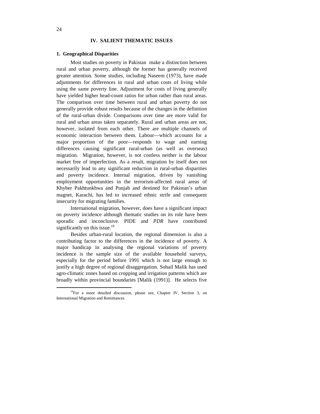# **IV. SALIENT THEMATIC ISSUES**

#### **1. Geographical Disparities**

Most studies on poverty in Pakistan make a distinction between rural and urban poverty, although the former has generally received greater attention. Some studies, including Naseem (1973), have made adjustments for differences in rural and urban costs of living while using the same poverty line. Adjustment for costs of living generally have yielded higher head-count ratios for urban rather than rural areas. The comparison over time between rural and urban poverty do not generally provide robust results because of the changes in the definition of the rural-urban divide. Comparisons over time are more valid for rural and urban areas taken separately. Rural and urban areas are not, however, isolated from each other. There are multiple channels of economic interaction between them. Labour—which accounts for a major proportion of the poor—responds to wage and earning differences causing significant rural-urban (as well as overseas) migration. Migration, however, is not costless neither is the labour market free of imperfection. As a result, migration by itself does not necessarily lead to any significant reduction in rural-urban disparities and poverty incidence. Internal migration, driven by vanishing employment opportunities in the terrorism-affected rural areas of Khyber Pakhtunkhwa and Punjab and destined for Pakistan's urban magnet, Karachi, has led to increased ethnic strife and consequent insecurity for migrating families.

International migration, however, does have a significant impact on poverty incidence although thematic studies on its role have been sporadic and inconclusive. PIDE and *PDR* have contributed significantly on this issue.<sup>19</sup>

Besides urban-rural location, the regional dimension is also a contributing factor to the differences in the incidence of poverty. A major handicap in analysing the regional variations of poverty incidence is the sample size of the available household surveys, especially for the period before 1991 which is not large enough to justify a high degree of regional disaggregation. Sohail Malik has used agro-climatic zones based on cropping and irrigation patterns which are broadly within provincial boundaries [Malik (1991)]. He selects five

<sup>&</sup>lt;sup>19</sup>For a more detailed discussion, please see, Chapter IV, Section 3, on International Migration and Remittances.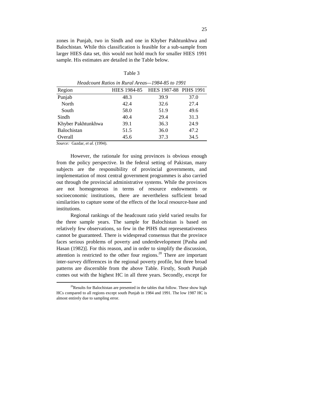zones in Punjab, two in Sindh and one in Khyber Pakhtunkhwa and Balochistan. While this classification is feasible for a sub-sample from larger HIES data set, this would not hold much for smaller HIES 1991 sample. His estimates are detailed in the Table below.

| ٩<br>۰<br>×<br>× |  |  |  |
|------------------|--|--|--|
|------------------|--|--|--|

| Headcount Ratios in Rural Areas–1984-85 to 1991 |      |                                     |      |  |  |  |
|-------------------------------------------------|------|-------------------------------------|------|--|--|--|
| Region                                          |      | HIES 1984-85 HIES 1987-88 PIHS 1991 |      |  |  |  |
| Punjab                                          | 48.3 | 39.9                                | 37.0 |  |  |  |
| North                                           | 42.4 | 32.6                                | 27.4 |  |  |  |
| South                                           | 58.0 | 51.9                                | 49.6 |  |  |  |
| Sindh                                           | 40.4 | 29.4                                | 31.3 |  |  |  |
| Khyber Pakhtunkhwa                              | 39.1 | 36.3                                | 24.9 |  |  |  |
| Balochistan                                     | 51.5 | 36.0                                | 47.2 |  |  |  |
| Overall                                         | 45.6 | 37.3                                | 34.5 |  |  |  |

*Source:* Gazdar, *et al.* (1994).

 $\overline{a}$ 

However, the rationale for using provinces is obvious enough from the policy perspective. In the federal setting of Pakistan, many subjects are the responsibility of provincial governments, and implementation of most central government programmes is also carried out through the provincial administrative systems. While the provinces are not homogeneous in terms of resource endowments or socioeconomic institutions, there are nevertheless sufficient broad similarities to capture some of the effects of the local resource-base and institutions.

Regional rankings of the headcount ratio yield varied results for the three sample years. The sample for Balochistan is based on relatively few observations, so few in the PIHS that representativeness cannot be guaranteed. There is widespread consensus that the province faces serious problems of poverty and underdevelopment [Pasha and Hasan (1982)]. For this reason, and in order to simplify the discussion, attention is restricted to the other four regions.<sup>20</sup> There are important inter-survey differences in the regional poverty profile, but three broad patterns are discernible from the above Table. Firstly, South Punjab comes out with the highest HC in all three years. Secondly, except for

<sup>&</sup>lt;sup>20</sup>Results for Balochistan are presented in the tables that follow. These show high HCs compared to all regions except south Punjab in 1984 and 1991. The low 1987 HC is almost entirely due to sampling error.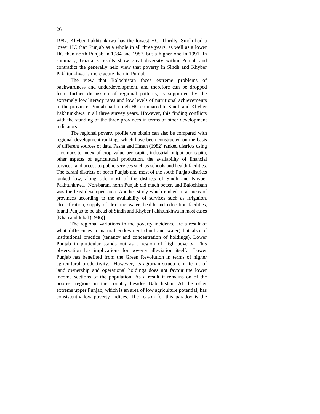1987, Khyber Pakhtunkhwa has the lowest HC. Thirdly, Sindh had a lower HC than Punjab as a whole in all three years, as well as a lower HC than north Punjab in 1984 and 1987, but a higher one in 1991. In summary, Gazdar's results show great diversity within Punjab and contradict the generally held view that poverty in Sindh and Khyber Pakhtunkhwa is more acute than in Punjab.

The view that Balochistan faces extreme problems of backwardness and underdevelopment, and therefore can be dropped from further discussion of regional patterns, is supported by the extremely low literacy rates and low levels of nutritional achievements in the province. Punjab had a high HC compared to Sindh and Khyber Pakhtunkhwa in all three survey years. However, this finding conflicts with the standing of the three provinces in terms of other development indicators.

The regional poverty profile we obtain can also be compared with regional development rankings which have been constructed on the basis of different sources of data. Pasha and Hasan (1982) ranked districts using a composite index of crop value per capita, industrial output per capita, other aspects of agricultural production, the availability of financial services, and access to public services such as schools and health facilities. The barani districts of north Punjab and most of the south Punjab districts ranked low, along side most of the districts of Sindh and Khyber Pakhtunkhwa. Non-barani north Punjab did much better, and Balochistan was the least developed area. Another study which ranked rural areas of provinces according to the availability of services such as irrigation, electrification, supply of drinking water, health and education facilities, found Punjab to be ahead of Sindh and Khyber Pakhtunkhwa in most cases [Khan and Iqbal (1986)].

The regional variations in the poverty incidence are a result of what differences in natural endowment (land and water) but also of institutional practice (tenancy and concentration of holdings). Lower Punjab in particular stands out as a region of high poverty. This observation has implications for poverty alleviation itself. Lower Punjab has benefited from the Green Revolution in terms of higher agricultural productivity. However, its agrarian structure in terms of land ownership and operational holdings does not favour the lower income sections of the population. As a result it remains on of the poorest regions in the country besides Balochistan. At the other extreme upper Punjab, which is an area of low agriculture potential, has consistently low poverty indices. The reason for this paradox is the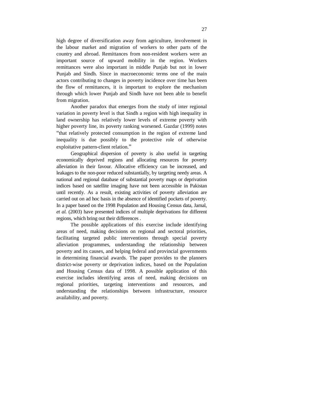high degree of diversification away from agriculture, involvement in the labour market and migration of workers to other parts of the country and abroad. Remittances from non-resident workers were an important source of upward mobility in the region. Workers remittances were also important in middle Punjab but not in lower Punjab and Sindh. Since in macroeconomic terms one of the main actors contributing to changes in poverty incidence over time has been the flow of remittances, it is important to explore the mechanism through which lower Punjab and Sindh have not been able to benefit from migration.

Another paradox that emerges from the study of inter regional variation in poverty level is that Sindh a region with high inequality in land ownership has relatively lower levels of extreme poverty with higher poverty line, its poverty ranking worsened. Gazdar (1999) notes "that relatively protected consumption in the region of extreme land inequality is due possibly to the protective role of otherwise exploitative pattern-client relation."

Geographical dispersion of poverty is also useful in targeting economically deprived regions and allocating resources for poverty alleviation in their favour. Allocative efficiency can be increased, and leakages to the non-poor reduced substantially, by targeting needy areas. A national and regional database of substantial poverty maps or deprivation indices based on satellite imaging have not been accessible in Pakistan until recently. As a result, existing activities of poverty alleviation are carried out on ad hoc basis in the absence of identified pockets of poverty. In a paper based on the 1998 Population and Housing Census data, Jamal, *et al.* (2003) have presented indices of multiple deprivations for different regions, which bring out their differences .

The possible applications of this exercise include identifying areas of need, making decisions on regional and sectoral priorities, facilitating targeted public interventions through special poverty alleviation programmes, understanding the relationship between poverty and its causes, and helping federal and provincial governments in determining financial awards. The paper provides to the planners district-wise poverty or deprivation indices, based on the Population and Housing Census data of 1998. A possible application of this exercise includes identifying areas of need, making decisions on regional priorities, targeting interventions and resources, and understanding the relationships between infrastructure, resource availability, and poverty.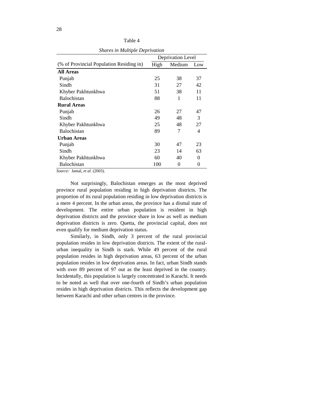|                                          | Deprivation Level |        |                |
|------------------------------------------|-------------------|--------|----------------|
| (% of Provincial Population Residing in) | High              | Medium | Low            |
| <b>All Areas</b>                         |                   |        |                |
| Punjab                                   | 25                | 38     | 37             |
| Sindh                                    | 31                | 27     | 42             |
| Khyber Pakhtunkhwa                       | 51                | 38     | 11             |
| <b>Balochistan</b>                       | 88                | 1      | 11             |
| <b>Rural Areas</b>                       |                   |        |                |
| Punjab                                   | 26                | 27     | 47             |
| Sindh                                    | 49                | 48     | 3              |
| Khyber Pakhtunkhwa                       | 25                | 48     | 27             |
| <b>Balochistan</b>                       | 89                | 7      | $\overline{4}$ |
| Urban Areas                              |                   |        |                |
| Punjab                                   | 30                | 47     | 23             |
| Sindh                                    | 23                | 14     | 63             |
| Khyber Pakhtunkhwa                       | 60                | 40     | 0              |
| Balochistan                              | 100               | 0      | 0              |

Table 4 *Shares in Multiple Deprivation* 

*Source:* Jamal, *et al.* (2003).

Not surprisingly, Balochistan emerges as the most deprived province rural population residing in high deprivation districts. The proportion of its rural population residing in low deprivation districts is a mere 4 percent. In the urban areas, the province has a dismal state of development. The entire urban population is resident in high deprivation districts and the province share in low as well as medium deprivation districts is zero. Quetta, the provincial capital, does not even qualify for medium deprivation status.

Similarly, in Sindh, only 3 percent of the rural provincial population resides in low deprivation districts. The extent of the ruralurban inequality in Sindh is stark. While 49 percent of the rural population resides in high deprivation areas, 63 percent of the urban population resides in low deprivation areas. In fact, urban Sindh stands with over 89 percent of 97 out as the least deprived in the country. Incidentally, this population is largely concentrated in Karachi. It needs to be noted as well that over one-fourth of Sindh's urban population resides in high deprivation districts. This reflects the development gap between Karachi and other urban centres in the province.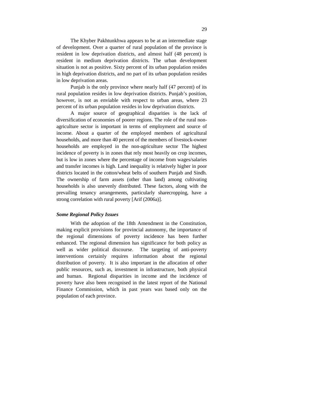The Khyber Pakhtunkhwa appears to be at an intermediate stage of development. Over a quarter of rural population of the province is resident in low deprivation districts, and almost half (48 percent) is resident in medium deprivation districts. The urban development situation is not as positive. Sixty percent of its urban population resides in high deprivation districts, and no part of its urban population resides in low deprivation areas.

Punjab is the only province where nearly half (47 percent) of its rural population resides in low deprivation districts. Punjab's position, however, is not as enviable with respect to urban areas, where 23 percent of its urban population resides in low deprivation districts.

A major source of geographical disparities is the lack of diversification of economies of poorer regions. The role of the rural nonagriculture sector is important in terms of employment and source of income. About a quarter of the employed members of agricultural households, and more than 40 percent of the members of livestock-owner households are employed in the non-agriculture sector The highest incidence of poverty is in zones that rely most heavily on crop incomes, but is low in zones where the percentage of income from wages/salaries and transfer incomes is high. Land inequality is relatively higher in poor districts located in the cotton/wheat belts of southern Punjab and Sindh. The ownership of farm assets (other than land) among cultivating households is also unevenly distributed. These factors, along with the prevailing tenancy arrangements, particularly sharecropping, have a strong correlation with rural poverty [Arif (2006a)].

## *Some Regional Policy Issues*

With the adoption of the 18th Amendment in the Constitution, making explicit provisions for provincial autonomy, the importance of the regional dimensions of poverty incidence has been further enhanced. The regional dimension has significance for both policy as well as wider political discourse. The targeting of anti-poverty interventions certainly requires information about the regional distribution of poverty. It is also important in the allocation of other public resources, such as, investment in infrastructure, both physical and human. Regional disparities in income and the incidence of poverty have also been recognised in the latest report of the National Finance Commission, which in past years was based only on the population of each province.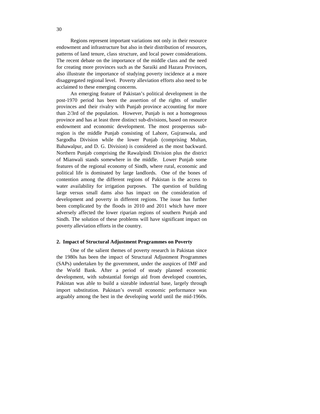Regions represent important variations not only in their resource endowment and infrastructure but also in their distribution of resources, patterns of land tenure, class structure, and local power considerations. The recent debate on the importance of the middle class and the need for creating more provinces such as the Saraiki and Hazara Provinces, also illustrate the importance of studying poverty incidence at a more disaggregated regional level. Poverty alleviation efforts also need to be acclaimed to these emerging concerns.

An emerging feature of Pakistan's political development in the post-1970 period has been the assertion of the rights of smaller provinces and their rivalry with Punjab province accounting for more than 2/3rd of the population. However, Punjab is not a homogenous province and has at least three distinct sub-divisions, based on resource endowment and economic development. The most prosperous subregion is the middle Punjab consisting of Lahore, Gujranwala, and Sargodha Division while the lower Punjab (comprising Multan, Bahawalpur, and D. G. Division) is considered as the most backward. Northern Punjab comprising the Rawalpindi Division plus the district of Mianwali stands somewhere in the middle. Lower Punjab some features of the regional economy of Sindh, where rural, economic and political life is dominated by large landlords. One of the bones of contention among the different regions of Pakistan is the access to water availability for irrigation purposes. The question of building large versus small dams also has impact on the consideration of development and poverty in different regions. The issue has further been complicated by the floods in 2010 and 2011 which have more adversely affected the lower riparian regions of southern Punjab and Sindh. The solution of these problems will have significant impact on poverty alleviation efforts in the country.

# **2. Impact of Structural Adjustment Programmes on Poverty**

One of the salient themes of poverty research in Pakistan since the 1980s has been the impact of Structural Adjustment Programmes (SAPs) undertaken by the government, under the auspices of IMF and the World Bank. After a period of steady planned economic development, with substantial foreign aid from developed countries, Pakistan was able to build a sizeable industrial base, largely through import substitution. Pakistan's overall economic performance was arguably among the best in the developing world until the mid-1960s.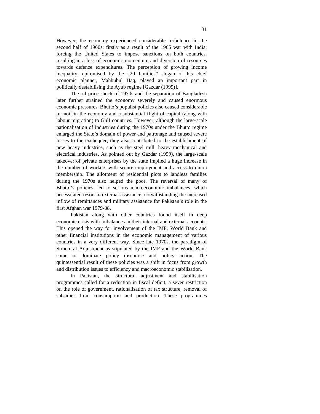However, the economy experienced considerable turbulence in the second half of 1960s: firstly as a result of the 1965 war with India, forcing the United States to impose sanctions on both countries, resulting in a loss of economic momentum and diversion of resources towards defence expenditures. The perception of growing income inequality, epitomised by the "20 families" slogan of his chief economic planner, Mahbubul Haq, played an important part in politically destabilising the Ayub regime [Gazdar (1999)].

The oil price shock of 1970s and the separation of Bangladesh later further strained the economy severely and caused enormous economic pressures. Bhutto's populist policies also caused considerable turmoil in the economy and a substantial flight of capital (along with labour migration) to Gulf countries. However, although the large-scale nationalisation of industries during the 1970s under the Bhutto regime enlarged the State's domain of power and patronage and caused severe losses to the exchequer, they also contributed to the establishment of new heavy industries, such as the steel mill, heavy mechanical and electrical industries. As pointed out by Gazdar (1999), the large-scale takeover of private enterprises by the state implied a huge increase in the number of workers with secure employment and access to union membership. The allotment of residential plots to landless families during the 1970s also helped the poor. The reversal of many of Bhutto's policies, led to serious macroeconomic imbalances, which necessitated resort to external assistance, notwithstanding the increased inflow of remittances and military assistance for Pakistan's role in the first Afghan war 1979-88.

Pakistan along with other countries found itself in deep economic crisis with imbalances in their internal and external accounts. This opened the way for involvement of the IMF, World Bank and other financial institutions in the economic management of various countries in a very different way. Since late 1970s, the paradigm of Structural Adjustment as stipulated by the IMF and the World Bank came to dominate policy discourse and policy action. The quintessential result of these policies was a shift in focus from growth and distribution issues to efficiency and macroeconomic stabilisation.

In Pakistan, the structural adjustment and stabilisation programmes called for a reduction in fiscal deficit, a sever restriction on the role of government, rationalisation of tax structure, removal of subsidies from consumption and production. These programmes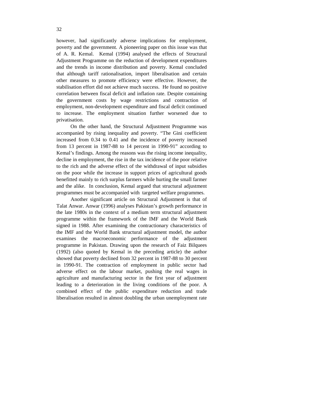however, had significantly adverse implications for employment, poverty and the government. A pioneering paper on this issue was that of A. R. Kemal. Kemal (1994) analysed the effects of Structural Adjustment Programme on the reduction of development expenditures and the trends in income distribution and poverty. Kemal concluded that although tariff rationalisation, import liberalisation and certain other measures to promote efficiency were effective. However, the stabilisation effort did not achieve much success. He found no positive correlation between fiscal deficit and inflation rate. Despite containing the government costs by wage restrictions and contraction of employment, non-development expenditure and fiscal deficit continued to increase. The employment situation further worsened due to privatisation.

On the other hand, the Structural Adjustment Programme was accompanied by rising inequality and poverty. "The Gini coefficient increased from 0.34 to 0.41 and the incidence of poverty increased from 13 percent in 1987-88 to 14 percent in 1990-91" according to Kemal's findings. Among the reasons was the rising income inequality, decline in employment, the rise in the tax incidence of the poor relative to the rich and the adverse effect of the withdrawal of input subsidies on the poor while the increase in support prices of agricultural goods benefitted mainly to rich surplus farmers while hurting the small farmer and the alike. In conclusion, Kemal argued that structural adjustment programmes must be accompanied with targeted welfare programmes.

Another significant article on Structural Adjustment is that of Talat Anwar. Anwar (1996) analyses Pakistan's growth performance in the late 1980s in the context of a medium term structural adjustment programme within the framework of the IMF and the World Bank signed in 1988. After examining the contractionary characteristics of the IMF and the World Bank structural adjustment model, the author examines the macroeconomic performance of the adjustment programme in Pakistan. Drawing upon the research of Faiz Bilquees (1992) (also quoted by Kemal in the preceding article) the author showed that poverty declined from 32 percent in 1987-88 to 30 percent in 1990-91. The contraction of employment in public sector had adverse effect on the labour market, pushing the real wages in agriculture and manufacturing sector in the first year of adjustment leading to a deterioration in the living conditions of the poor. A combined effect of the public expenditure reduction and trade liberalisation resulted in almost doubling the urban unemployment rate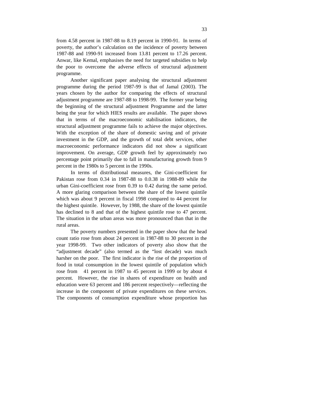from 4.58 percent in 1987-88 to 8.19 percent in 1990-91. In terms of poverty, the author's calculation on the incidence of poverty between 1987-88 and 1990-91 increased from 13.81 percent to 17.26 percent. Anwar, like Kemal, emphasises the need for targeted subsidies to help the poor to overcome the adverse effects of structural adjustment programme.

Another significant paper analysing the structural adjustment programme during the period 1987-99 is that of Jamal (2003). The years chosen by the author for comparing the effects of structural adjustment programme are 1987-88 to 1998-99. The former year being the beginning of the structural adjustment Programme and the latter being the year for which HIES results are available. The paper shows that in terms of the macroeconomic stabilisation indicators, the structural adjustment programme fails to achieve the major objectives. With the exception of the share of domestic saving and of private investment in the GDP, and the growth of total debt services, other macroeconomic performance indicators did not show a significant improvement. On average, GDP growth feel by approximately two percentage point primarily due to fall in manufacturing growth from 9 percent in the 1980s to 5 percent in the 1990s.

In terms of distributional measures, the Gini-coefficient for Pakistan rose from 0.34 in 1987-88 to 0.0.38 in 1988-89 while the urban Gini-coefficient rose from 0.39 to 0.42 during the same period. A more glaring comparison between the share of the lowest quintile which was about 9 percent in fiscal 1998 compared to 44 percent for the highest quintile. However, by 1988, the share of the lowest quintile has declined to 8 and that of the highest quintile rose to 47 percent. The situation in the urban areas was more pronounced than that in the rural areas.

The poverty numbers presented in the paper show that the head count ratio rose from about 24 percent in 1987-88 to 30 percent in the year 1998-99. Two other indicators of poverty also show that the "adjustment decade" (also termed as the "lost decade) was much harsher on the poor. The first indicator is the rise of the proportion of food in total consumption in the lowest quintile of population which rose from 41 percent in 1987 to 45 percent in 1999 or by about 4 percent. However, the rise in shares of expenditure on health and education were 63 percent and 186 percent respectively—reflecting the increase in the component of private expenditures on these services. The components of consumption expenditure whose proportion has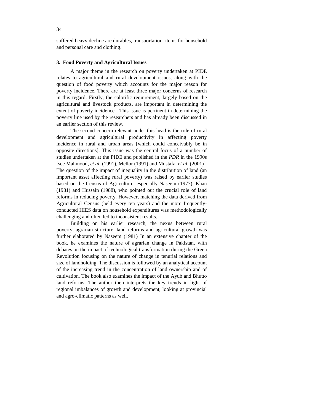suffered heavy decline are durables, transportation, items for household and personal care and clothing.

# **3. Food Poverty and Agricultural Issues**

A major theme in the research on poverty undertaken at PIDE relates to agricultural and rural development issues, along with the question of food poverty which accounts for the major reason for poverty incidence. There are at least three major concerns of research in this regard. Firstly, the calorific requirement, largely based on the agricultural and livestock products, are important in determining the extent of poverty incidence. This issue is pertinent in determining the poverty line used by the researchers and has already been discussed in an earlier section of this review.

The second concern relevant under this head is the role of rural development and agricultural productivity in affecting poverty incidence in rural and urban areas [which could conceivably be in opposite directions]. This issue was the central focus of a number of studies undertaken at the PIDE and published in the *PDR* in the 1990s [see Mahmood, *et al.* (1991), Mellor (1991) and Mustafa, *et al*. (2001)]. The question of the impact of inequality in the distribution of land (an important asset affecting rural poverty) was raised by earlier studies based on the Census of Agriculture, especially Naseem (1977), Khan (1981) and Hussain (1988), who pointed out the crucial role of land reforms in reducing poverty. However, matching the data derived from Agricultural Census (held every ten years) and the more frequentlyconducted HIES data on household expenditures was methodologically challenging and often led to inconsistent results.

Building on his earlier research, the nexus between rural poverty, agrarian structure, land reforms and agricultural growth was further elaborated by Naseem (1981) In an extensive chapter of the book, he examines the nature of agrarian change in Pakistan, with debates on the impact of technological transformation during the Green Revolution focusing on the nature of change in tenurial relations and size of landholding. The discussion is followed by an analytical account of the increasing trend in the concentration of land ownership and of cultivation. The book also examines the impact of the Ayub and Bhutto land reforms. The author then interprets the key trends in light of regional imbalances of growth and development, looking at provincial and agro-climatic patterns as well.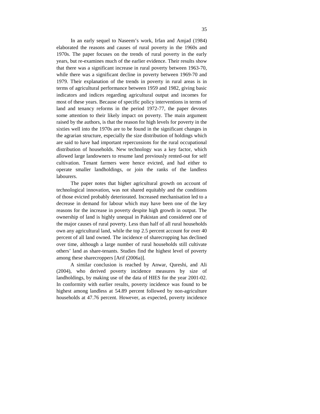In an early sequel to Naseem's work, Irfan and Amjad (1984) elaborated the reasons and causes of rural poverty in the 1960s and 1970s. The paper focuses on the trends of rural poverty in the early years, but re-examines much of the earlier evidence. Their results show that there was a significant increase in rural poverty between 1963-70, while there was a significant decline in poverty between 1969-70 and 1979. Their explanation of the trends in poverty in rural areas is in terms of agricultural performance between 1959 and 1982, giving basic indicators and indices regarding agricultural output and incomes for most of these years. Because of specific policy interventions in terms of land and tenancy reforms in the period 1972-77, the paper devotes some attention to their likely impact on poverty. The main argument raised by the authors, is that the reason for high levels for poverty in the sixties well into the 1970s are to be found in the significant changes in the agrarian structure, especially the size distribution of holdings which are said to have had important repercussions for the rural occupational distribution of households. New technology was a key factor, which allowed large landowners to resume land previously rented-out for self cultivation. Tenant farmers were hence evicted, and had either to operate smaller landholdings, or join the ranks of the landless labourers.

The paper notes that higher agricultural growth on account of technological innovation, was not shared equitably and the conditions of those evicted probably deteriorated. Increased mechanisation led to a decrease in demand for labour which may have been one of the key reasons for the increase in poverty despite high growth in output. The ownership of land is highly unequal in Pakistan and considered one of the major causes of rural poverty. Less than half of all rural households own any agricultural land, while the top 2.5 percent account for over 40 percent of all land owned. The incidence of sharecropping has declined over time, although a large number of rural households still cultivate others' land as share-tenants. Studies find the highest level of poverty among these sharecroppers [Arif (2006a)].

A similar conclusion is reached by Anwar, Qureshi, and Ali (2004), who derived poverty incidence measures by size of landholdings, by making use of the data of HIES for the year 2001-02. In conformity with earlier results, poverty incidence was found to be highest among landless at 54.89 percent followed by non-agriculture households at 47.76 percent. However, as expected, poverty incidence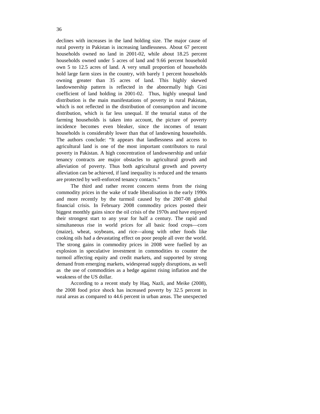declines with increases in the land holding size. The major cause of rural poverty in Pakistan is increasing landlessness. About 67 percent households owned no land in 2001-02, while about 18.25 percent households owned under 5 acres of land and 9.66 percent household own 5 to 12.5 acres of land. A very small proportion of households hold large farm sizes in the country, with barely 1 percent households owning greater than 35 acres of land. This highly skewed landownership pattern is reflected in the abnormally high Gini coefficient of land holding in 2001-02. Thus, highly unequal land distribution is the main manifestations of poverty in rural Pakistan, which is not reflected in the distribution of consumption and income distribution, which is far less unequal. If the tenurial status of the farming households is taken into account, the picture of poverty incidence becomes even bleaker, since the incomes of tenant households is considerably lower than that of landowning households. The authors conclude: "It appears that landlessness and access to agricultural land is one of the most important contributors to rural poverty in Pakistan. A high concentration of landownership and unfair tenancy contracts are major obstacles to agricultural growth and alleviation of poverty. Thus both agricultural growth and poverty alleviation can be achieved, if land inequality is reduced and the tenants are protected by well-enforced tenancy contacts."

The third and rather recent concern stems from the rising commodity prices in the wake of trade liberalisation in the early 1990s and more recently by the turmoil caused by the 2007-08 global financial crisis. In February 2008 commodity prices posted their biggest monthly gains since the oil crisis of the 1970s and have enjoyed their strongest start to any year for half a century. The rapid and simultaneous rise in world prices for all basic food crops—corn (maize), wheat, soybeans, and rice—along with other foods like cooking oils had a devastating effect on poor people all over the world. The strong gains in commodity prices in 2008 were fuelled by an explosion in speculative investment in commodities to counter the turmoil affecting equity and credit markets, and supported by strong demand from emerging markets, widespread supply disruptions, as well as the use of commodities as a hedge against rising inflation and the weakness of the US dollar.

According to a recent study by Haq, Nazli, and Meike (2008), the 2008 food price shock has increased poverty by 32.5 percent in rural areas as compared to 44.6 percent in urban areas. The unexpected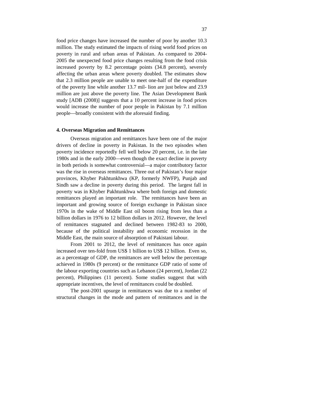food price changes have increased the number of poor by another 10.3 million. The study estimated the impacts of rising world food prices on poverty in rural and urban areas of Pakistan. As compared to 2004- 2005 the unexpected food price changes resulting from the food crisis increased poverty by 8.2 percentage points (34.8 percent), severely affecting the urban areas where poverty doubled. The estimates show that 2.3 million people are unable to meet one-half of the expenditure of the poverty line while another 13.7 mil- lion are just below and 23.9 million are just above the poverty line. The Asian Development Bank study [ADB (2008)] suggests that a 10 percent increase in food prices would increase the number of poor people in Pakistan by 7.1 million people—broadly consistent with the aforesaid finding.

## **4. Overseas Migration and Remittances**

Overseas migration and remittances have been one of the major drivers of decline in poverty in Pakistan. In the two episodes when poverty incidence reportedly fell well below 20 percent, i.e. in the late 1980s and in the early 2000—even though the exact decline in poverty in both periods is somewhat controversial—a major contributory factor was the rise in overseas remittances. Three out of Pakistan's four major provinces, Khyber Pakhtunkhwa (KP, formerly NWFP), Punjab and Sindh saw a decline in poverty during this period. The largest fall in poverty was in Khyber Pakhtunkhwa where both foreign and domestic remittances played an important role. The remittances have been an important and growing source of foreign exchange in Pakistan since 1970s in the wake of Middle East oil boom rising from less than a billion dollars in 1976 to 12 billion dollars in 2012. However, the level of remittances stagnated and declined between 1982-83 to 2000, because of the political instability and economic recession in the Middle East, the main source of absorption of Pakistani labour.

From 2001 to 2012, the level of remittances has once again increased over ten-fold from US\$ 1 billion to US\$ 12 billion. Even so, as a percentage of GDP, the remittances are well below the percentage achieved in 1980s (9 percent) or the remittance GDP ratio of some of the labour exporting countries such as Lebanon (24 percent), Jordan (22 percent), Philippines (11 percent). Some studies suggest that with appropriate incentives, the level of remittances could be doubled.

The post-2001 upsurge in remittances was due to a number of structural changes in the mode and pattern of remittances and in the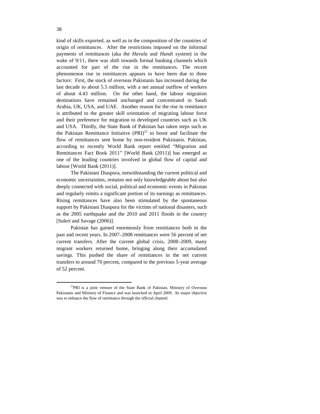kind of skills exported, as well as in the composition of the countries of origin of remittances. After the restrictions imposed on the informal payments of remittances (aka the *Havala* and *Hundi* system) in the wake of  $9/11$ , there was shift towards formal banking channels which accounted for part of the rise in the remittances. The recent phenomenon rise in remittances appears to have been due to three factors: First, the stock of overseas Pakistanis has increased during the last decade to about 5.5 million, with a net annual outflow of workers of about 4.43 million. On the other hand, the labour migration destinations have remained unchanged and concentrated in Saudi Arabia, UK, USA, and UAE. Another reason for the rise in remittance is attributed to the greater skill orientation of migrating labour force and their preference for migration to developed countries such as UK and USA. Thirdly, the State Bank of Pakistan has taken steps such as the Pakistan Remittance Initiative  $(PRI)^{21}$  to boost and facilitate the flow of remittances sent home by non-resident Pakistanis. Pakistan, according to recently World Bank report entitled "Migration and Remittances Fact Book 2011" [World Bank (2011)] has emerged as one of the leading countries involved in global flow of capital and labour [World Bank (2011)].

The Pakistani Diaspora, notwithstanding the current political and economic uncertainties, remains not only knowledgeable about but also deeply connected with social, political and economic events in Pakistan and regularly remits a significant portion of its earnings as remittances. Rising remittances have also been stimulated by the spontaneous support by Pakistani Diaspora for the victims of national disasters, such as the 2005 earthquake and the 2010 and 2011 floods in the country [Suleri and Savage (2006)].

Pakistan has gained enormously from remittances both in the past and recent years. In 2007–2008 remittances were 56 percent of net current transfers. After the current global crisis, 2008–2009, many migrant workers returned home, bringing along their accumulated savings. This pushed the share of remittances in the net current transfers to around 70 percent, compared to the previous 5-year average of 52 percent.

 $\overline{a}$ 

<sup>&</sup>lt;sup>21</sup>PRI is a joint venture of the State Bank of Pakistan, Ministry of Overseas Pakistanis and Ministry of Finance and was launched in April 2009. Its major objective was to enhance the flow of remittance through the official channel.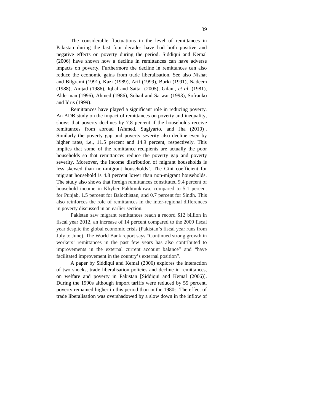The considerable fluctuations in the level of remittances in Pakistan during the last four decades have had both positive and negative effects on poverty during the period. Siddiqui and Kemal (2006) have shown how a decline in remittances can have adverse impacts on poverty. Furthermore the decline in remittances can also reduce the economic gains from trade liberalisation. See also Nishat and Bilgrami (1991), Kazi (1989), Arif (1999), Burki (1991), Nadeem (1988), Amjad (1986), Iqbal and Sattar (2005), Gilani, *et al*. (1981), Alderman (1996), Ahmed (1986), Sohail and Sarwar (1993), Sofranko and Idris (1999).

Remittances have played a significant role in reducing poverty. An ADB study on the impact of remittances on poverty and inequality, shows that poverty declines by 7.8 percent if the households receive remittances from abroad [Ahmed, Sugiyarto, and Jha (2010)]. Similarly the poverty gap and poverty severity also decline even by higher rates, i.e., 11.5 percent and 14.9 percent, respectively. This implies that some of the remittance recipients are actually the poor households so that remittances reduce the poverty gap and poverty severity. Moreover, the income distribution of migrant households is less skewed than non-migrant households'. The Gini coefficient for migrant household is 4.8 percent lower than non-migrant households. The study also shows that foreign remittances constituted 9.4 percent of household income in Khyber Pakhtunkhwa, compared to 5.1 percent for Punjab, 1.5 percent for Balochistan, and 0.7 percent for Sindh. This also reinforces the role of remittances in the inter-regional differences in poverty discussed in an earlier section.

Pakistan saw migrant remittances reach a record \$12 billion in fiscal year 2012, an increase of 14 percent compared to the 2009 fiscal year despite the global economic crisis (Pakistan's fiscal year runs from July to June). The World Bank report says "Continued strong growth in workers' remittances in the past few years has also contributed to improvements in the external current account balance" and "have facilitated improvement in the country's external position".

A paper by Siddiqui and Kemal (2006) explores the interaction of two shocks, trade liberalisation policies and decline in remittances, on welfare and poverty in Pakistan [Siddiqui and Kemal (2006)]. During the 1990s although import tariffs were reduced by 55 percent, poverty remained higher in this period than in the 1980s. The effect of trade liberalisation was overshadowed by a slow down in the inflow of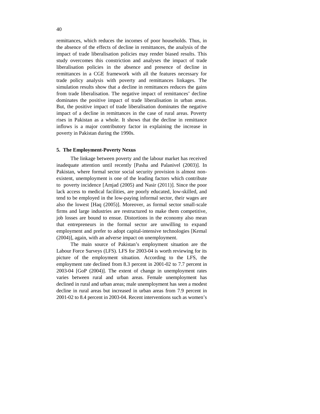remittances, which reduces the incomes of poor households. Thus, in the absence of the effects of decline in remittances, the analysis of the impact of trade liberalisation policies may render biased results. This study overcomes this constriction and analyses the impact of trade liberalisation policies in the absence and presence of decline in remittances in a CGE framework with all the features necessary for trade policy analysis with poverty and remittances linkages. The simulation results show that a decline in remittances reduces the gains from trade liberalisation. The negative impact of remittances' decline dominates the positive impact of trade liberalisation in urban areas. But, the positive impact of trade liberalisation dominates the negative impact of a decline in remittances in the case of rural areas. Poverty rises in Pakistan as a whole. It shows that the decline in remittance inflows is a major contributory factor in explaining the increase in poverty in Pakistan during the 1990s.

### **5. The Employment-Poverty Nexus**

The linkage between poverty and the labour market has received inadequate attention until recently [Pasha and Palanivel (2003)]. In Pakistan, where formal sector social security provision is almost nonexistent, unemployment is one of the leading factors which contribute to poverty incidence [Amjad (2005) and Nasir (2011)]. Since the poor lack access to medical facilities, are poorly educated, low-skilled, and tend to be employed in the low-paying informal sector, their wages are also the lowest [Haq (2005)]. Moreover, as formal sector small-scale firms and large industries are restructured to make them competitive, job losses are bound to ensue. Distortions in the economy also mean that entrepreneurs in the formal sector are unwilling to expand employment and prefer to adopt capital-intensive technologies [Kemal (2004)], again, with an adverse impact on unemployment.

The main source of Pakistan's employment situation are the Labour Force Surveys (LFS). LFS for 2003-04 is worth reviewing for its picture of the employment situation. According to the LFS, the employment rate declined from 8.3 percent in 2001-02 to 7.7 percent in 2003-04 [GoP (2004)]. The extent of change in unemployment rates varies between rural and urban areas. Female unemployment has declined in rural and urban areas; male unemployment has seen a modest decline in rural areas but increased in urban areas from 7.9 percent in 2001-02 to 8.4 percent in 2003-04. Recent interventions such as women's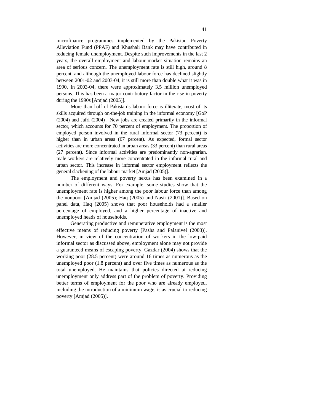microfinance programmes implemented by the Pakistan Poverty Alleviation Fund (PPAF) and Khushali Bank may have contributed in reducing female unemployment. Despite such improvements in the last 2 years, the overall employment and labour market situation remains an area of serious concern. The unemployment rate is still high, around 8 percent, and although the unemployed labour force has declined slightly between 2001-02 and 2003-04, it is still more than double what it was in 1990. In 2003-04, there were approximately 3.5 million unemployed persons. This has been a major contributory factor in the rise in poverty during the 1990s [Amjad (2005)].

More than half of Pakistan's labour force is illiterate, most of its skills acquired through on-the-job training in the informal economy [GoP (2004) and Jafri (2004)]. New jobs are created primarily in the informal sector, which accounts for 70 percent of employment. The proportion of employed person involved in the rural informal sector (73 percent) is higher than in urban areas (67 percent). As expected, formal sector activities are more concentrated in urban areas (33 percent) than rural areas (27 percent). Since informal activities are predominantly non-agrarian, male workers are relatively more concentrated in the informal rural and urban sector. This increase in informal sector employment reflects the general slackening of the labour market [Amjad (2005)].

The employment and poverty nexus has been examined in a number of different ways. For example, some studies show that the unemployment rate is higher among the poor labour force than among the nonpoor [Amjad (2005); Haq (2005) and Nasir (2001)]. Based on panel data, Haq (2005) shows that poor households had a smaller percentage of employed, and a higher percentage of inactive and unemployed heads of households.

Generating productive and remunerative employment is the most effective means of reducing poverty [Pasha and Palanivel (2003)]. However, in view of the concentration of workers in the low-paid informal sector as discussed above, employment alone may not provide a guaranteed means of escaping poverty. Gazdar (2004) shows that the working poor (28.5 percent) were around 16 times as numerous as the unemployed poor (1.8 percent) and over five times as numerous as the total unemployed. He maintains that policies directed at reducing unemployment only address part of the problem of poverty. Providing better terms of employment for the poor who are already employed, including the introduction of a minimum wage, is as crucial to reducing poverty [Amjad (2005)].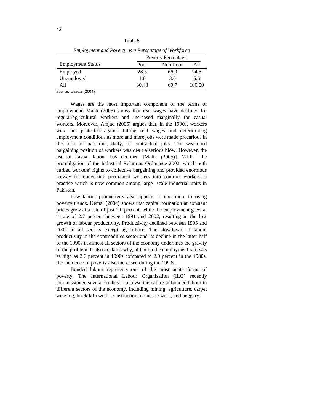| I<br>٩ | × |
|--------|---|
|--------|---|

| Linprovincia una Foverty as a Fercentage of workforce |                           |          |        |
|-------------------------------------------------------|---------------------------|----------|--------|
|                                                       | <b>Poverty Percentage</b> |          |        |
| <b>Employment Status</b>                              | Poor                      | Non-Poor | All    |
| Employed                                              | 28.5                      | 66.0     | 94.5   |
| Unemployed                                            | 1.8                       | 3.6      | 5.5    |
| A11                                                   | 30.43                     | 69.7     | 100.00 |

*Employment and Poverty as a Percentage of Workforce*

*Source:* Gazdar (2004).

Wages are the most important component of the terms of employment. Malik (2005) shows that real wages have declined for regular/agricultural workers and increased marginally for casual workers. Moreover, Amjad (2005) argues that, in the 1990s, workers were not protected against falling real wages and deteriorating employment conditions as more and more jobs were made precarious in the form of part-time, daily, or contractual jobs. The weakened bargaining position of workers was dealt a serious blow. However, the use of casual labour has declined [Malik (2005)]. With the promulgation of the Industrial Relations Ordinance 2002, which both curbed workers' rights to collective bargaining and provided enormous leeway for converting permanent workers into contract workers, a practice which is now common among large- scale industrial units in Pakistan.

Low labour productivity also appears to contribute to rising poverty trends. Kemal (2004) shows that capital formation at constant prices grew at a rate of just 2.0 percent, while the employment grew at a rate of 2.7 percent between 1991 and 2002, resulting in the low growth of labour productivity. Productivity declined between 1995 and 2002 in all sectors except agriculture. The slowdown of labour productivity in the commodities sector and its decline in the latter half of the 1990s in almost all sectors of the economy underlines the gravity of the problem. It also explains why, although the employment rate was as high as 2.6 percent in 1990s compared to 2.0 percent in the 1980s, the incidence of poverty also increased during the 1990s.

Bonded labour represents one of the most acute forms of poverty. The International Labour Organisation (ILO) recently commissioned several studies to analyse the nature of bonded labour in different sectors of the economy, including mining, agriculture, carpet weaving, brick kiln work, construction, domestic work, and beggary.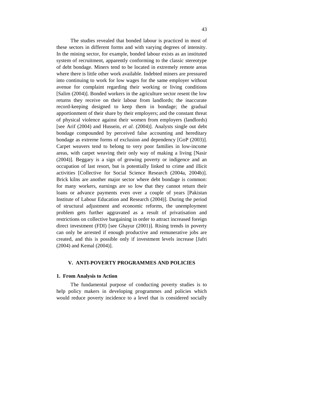The studies revealed that bonded labour is practiced in most of these sectors in different forms and with varying degrees of intensity. In the mining sector, for example, bonded labour exists as an instituted system of recruitment, apparently conforming to the classic stereotype of debt bondage. Miners tend to be located in extremely remote areas where there is little other work available. Indebted miners are pressured into continuing to work for low wages for the same employer without avenue for complaint regarding their working or living conditions [Salim (2004)]. Bonded workers in the agriculture sector resent the low returns they receive on their labour from landlords; the inaccurate record-keeping designed to keep them in bondage; the gradual apportionment of their share by their employers; and the constant threat of physical violence against their women from employers (landlords) [see Arif (2004) and Hussein, *et al*. (2004)]. Analysts single out debt bondage compounded by perceived false accounting and hereditary bondage as extreme forms of exclusion and dependency [GoP (2003)]. Carpet weavers tend to belong to very poor families in low-income areas, with carpet weaving their only way of making a living [Nasir (2004)]. Beggary is a sign of growing poverty or indigence and an occupation of last resort, but is potentially linked to crime and illicit activities [Collective for Social Science Research (2004a, 2004b)]. Brick kilns are another major sector where debt bondage is common: for many workers, earnings are so low that they cannot return their loans or advance payments even over a couple of years [Pakistan Institute of Labour Education and Research (2004)]. During the period of structural adjustment and economic reforms, the unemployment problem gets further aggravated as a result of privatisation and restrictions on collective bargaining in order to attract increased foreign direct investment (FDI) [see Ghayur (2001)]. Rising trends in poverty can only be arrested if enough productive and remunerative jobs are created, and this is possible only if investment levels increase [Jafri (2004) and Kemal (2004)].

# **V. ANTI-POVERTY PROGRAMMES AND POLICIES**

# **1. From Analysis to Action**

The fundamental purpose of conducting poverty studies is to help policy makers in developing programmes and policies which would reduce poverty incidence to a level that is considered socially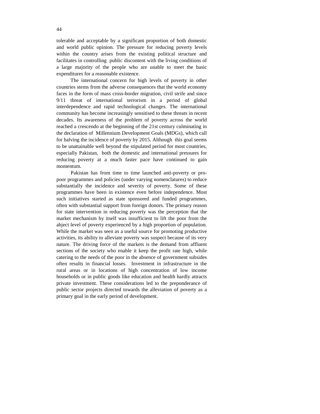tolerable and acceptable by a significant proportion of both domestic and world public opinion. The pressure for reducing poverty levels within the country arises from the existing political structure and facilitates in controlling public discontent with the living conditions of a large majority of the people who are unable to meet the basic expenditures for a reasonable existence.

The international concern for high levels of poverty in other countries stems from the adverse consequences that the world economy faces in the form of mass cross-border migration, civil strife and since 9/11 threat of international terrorism in a period of global interdependence and rapid technological changes. The international community has become increasingly sensitised to these threats in recent decades. Its awareness of the problem of poverty across the world reached a crescendo at the beginning of the 21st century culminating in the declaration of Millennium Development Goals (MDGs), which call for halving the incidence of poverty by 2015. Although this goal seems to be unattainable well beyond the stipulated period for most countries, especially Pakistan, both the domestic and international pressures for reducing poverty at a much faster pace have continued to gain momentum.

Pakistan has from time to time launched anti-poverty or propoor programmes and policies (under varying nomenclatures) to reduce substantially the incidence and severity of poverty. Some of these programmes have been in existence even before independence. Most such initiatives started as state sponsored and funded programmes, often with substantial support from foreign donors. The primary reason for state intervention in reducing poverty was the perception that the market mechanism by itself was insufficient to lift the poor from the abject level of poverty experienced by a high proportion of population. While the market was seen as a useful source for promoting productive activities, its ability to alleviate poverty was suspect because of its very nature. The driving force of the markets is the demand from affluent sections of the society who enable it keep the profit rate high, while catering to the needs of the poor in the absence of government subsides often results in financial losses. Investment in infrastructure in the rural areas or in locations of high concentration of low income households or in public goods like education and health hardly attracts private investment. These considerations led to the preponderance of public sector projects directed towards the alleviation of poverty as a primary goal in the early period of development.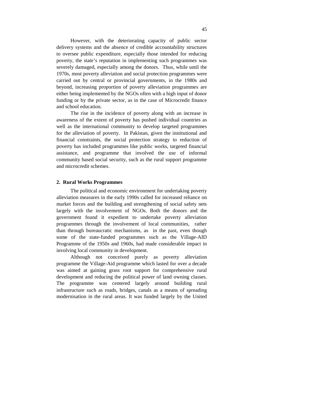However, with the deteriorating capacity of public sector delivery systems and the absence of credible accountability structures to oversee public expenditure, especially those intended for reducing poverty, the state's reputation in implementing such programmes was severely damaged, especially among the donors. Thus, while until the 1970s, most poverty alleviation and social protection programmes were carried out by central or provincial governments, in the 1980s and beyond, increasing proportion of poverty alleviation programmes are either being implemented by the NGOs often with a high input of donor funding or by the private sector, as in the case of Microcredit finance and school education.

The rise in the incidence of poverty along with an increase in awareness of the extent of poverty has pushed individual countries as well as the international community to develop targeted programmes for the alleviation of poverty. In Pakistan, given the institutional and financial constraints, the social protection strategy to reduction of poverty has included programmes like public works, targeted financial assistance, and programme that involved the use of informal community based social security, such as the rural support programme and microcredit schemes.

## **2. Rural Works Programmes**

The political and economic environment for undertaking poverty alleviation measures in the early 1990s called for increased reliance on market forces and the building and strengthening of social safety nets largely with the involvement of NGOs. Both the donors and the government found it expedient to undertake poverty alleviation programmes through the involvement of local communities, rather than through bureaucratic mechanisms, as in the past, even though some of the state-funded programmes such as the Village-AID Programme of the 1950s and 1960s, had made considerable impact in involving local community in development.

Although not conceived purely as poverty alleviation programme the Village-Aid programme which lasted for over a decade was aimed at gaining grass root support for comprehensive rural development and reducing the political power of land owning classes. The programme was centered largely around building rural infrastructure such as roads, bridges, canals as a means of spreading modernisation in the rural areas. It was funded largely by the United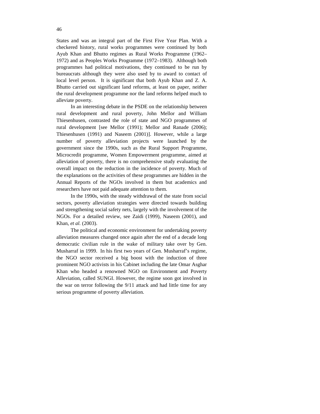States and was an integral part of the First Five Year Plan. With a checkered history, rural works programmes were continued by both Ayub Khan and Bhutto regimes as Rural Works Programme (1962– 1972) and as Peoples Works Programme (1972–1983). Although both programmes had political motivations, they continued to be run by bureaucrats although they were also used by to award to contact of local level person. It is significant that both Ayub Khan and Z. A. Bhutto carried out significant land reforms, at least on paper, neither the rural development programme nor the land reforms helped much to alleviate poverty.

In an interesting debate in the PSDE on the relationship between rural development and rural poverty, John Mellor and William Thiesenhusen, contrasted the role of state and NGO programmes of rural development [see Mellor (1991); Mellor and Ranade (2006); Thiesenhusen (1991) and Naseem (2001)]. However, while a large number of poverty alleviation projects were launched by the government since the 1990s, such as the Rural Support Programme, Microcredit programme, Women Empowerment programme, aimed at alleviation of poverty, there is no comprehensive study evaluating the overall impact on the reduction in the incidence of poverty. Much of the explanations on the activities of these programmes are hidden in the Annual Reports of the NGOs involved in them but academics and researchers have not paid adequate attention to them.

In the 1990s, with the steady withdrawal of the state from social sectors, poverty alleviation strategies were directed towards building and strengthening social safety nets, largely with the involvement of the NGOs. For a detailed review, see Zaidi (1999), Naseem (2001), and Khan, *et al.* (2003).

The political and economic environment for undertaking poverty alleviation measures changed once again after the end of a decade long democratic civilian rule in the wake of military take over by Gen. Musharraf in 1999. In his first two years of Gen. Musharraf's regime, the NGO sector received a big boost with the induction of three prominent NGO activists in his Cabinet including the late Omar Asghar Khan who headed a renowned NGO on Environment and Poverty Alleviation, called SUNGI. However, the regime soon got involved in the war on terror following the 9/11 attack and had little time for any serious programme of poverty alleviation.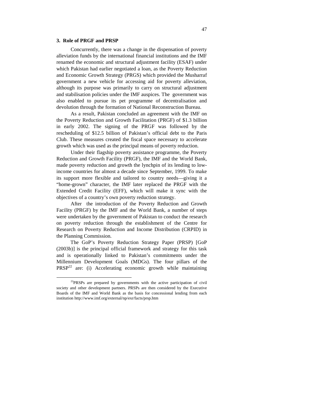# **3. Role of PRGF and PRSP**

 $\overline{a}$ 

Concurrently, there was a change in the dispensation of poverty alleviation funds by the international financial institutions and the IMF renamed the economic and structural adjustment facility (ESAF) under which Pakistan had earlier negotiated a loan, as the Poverty Reduction and Economic Growth Strategy (PRGS) which provided the Musharraf government a new vehicle for accessing aid for poverty alleviation, although its purpose was primarily to carry on structural adjustment and stabilisation policies under the IMF auspices. The government was also enabled to pursue its pet programme of decentralisation and devolution through the formation of National Reconstruction Bureau.

As a result, Pakistan concluded an agreement with the IMF on the Poverty Reduction and Growth Facilitation (PRGF) of \$1.3 billion in early 2002. The signing of the PRGF was followed by the rescheduling of \$12.5 billion of Pakistan's official debt to the Paris Club. These measures created the fiscal space necessary to accelerate growth which was used as the principal means of poverty reduction.

Under their flagship poverty assistance programme, the Poverty Reduction and Growth Facility (PRGF), the IMF and the World Bank, made poverty reduction and growth the lynchpin of its lending to lowincome countries for almost a decade since September, 1999. To make its support more flexible and tailored to country needs—giving it a "home-grown" character, the IMF later replaced the PRGF with the Extended Credit Facility (EFF), which will make it sync with the objectives of a country's own poverty reduction strategy.

After the introduction of the Poverty Reduction and Growth Facility (PRGF) by the IMF and the World Bank, a number of steps were undertaken by the government of Pakistan to conduct the research on poverty reduction through the establishment of the Centre for Research on Poverty Reduction and Income Distribution (CRPID) in the Planning Commission.

The GoP's Poverty Reduction Strategy Paper (PRSP) [GoP (2003b)] is the principal official framework and strategy for this task and is operationally linked to Pakistan's commitments under the Millennium Development Goals (MDGs). The four pillars of the  $PRSP<sup>22</sup>$  are: (i) Accelerating economic growth while maintaining

<sup>&</sup>lt;sup>22</sup>PRSPs are prepared by governments with the active participation of civil society and other development partners. PRSPs are then considered by the Executive Boards of the IMF and World Bank as the basis for concessional lending from each institution http://www.imf.org/external/np/exr/facts/prsp.htm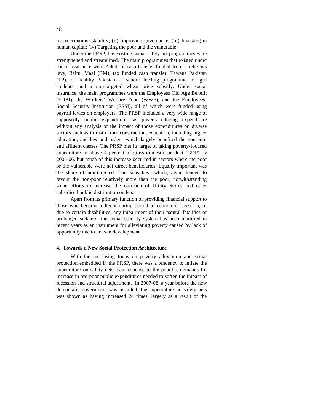macroeconomic stability; (ii) Improving governance; (iii) Investing in human capital; (iv) Targeting the poor and the vulnerable.

Under the PRSP, the existing social safety net programmes were strengthened and streamlined. The main programmes that existed under social assistance were Zakat, or cash transfer funded from a religious levy, Baitul Maal (BM), tax funded cash transfer, Tawana Pakistan (TP), or healthy Pakistan—a school feeding programme for girl students, and a non-targeted wheat price subsidy. Under social insurance, the main programmes were the Employees Old Age Benefit (EOBI), the Workers' Welfare Fund (WWF), and the Employees' Social Security Institution (ESSI), all of which were funded using payroll levies on employers. The PRSP included a very wide range of supposedly public expenditures as poverty-reducing expenditure without any analysis of the impact of those expenditures on diverse sectors such as infrastructure construction, education, including higher education, and law and order—which largely benefited the non-poor and affluent classes. The PRSP met its target of taking poverty-focused expenditure to above 4 percent of gross domestic product (GDP) by 2005-06, but much of this increase occurred in sectors where the poor or the vulnerable were not direct beneficiaries. Equally important was the share of non-targeted food subsidies—which, again tended to favour the non-poor relatively more than the poor, notwithstanding some efforts to increase the outreach of Utility Stores and other subsidised public distribution outlets.

Apart from its primary function of providing financial support to those who become indigent during period of economic recession, or due to certain disabilities, any impairment of their natural fatalities or prolonged sickness, the social security system has been modified in recent years as an instrument for alleviating poverty caused by lack of opportunity due to uneven development.

## **4. Towards a New Social Protection Architecture**

With the increasing focus on poverty alleviation and social protection embedded in the PRSP, there was a tendency to inflate the expenditure on safety nets as a response to the populist demands for increase in pro-poor public expenditures needed to soften the impact of recession and structural adjustment. In 2007-08, a year before the new democratic government was installed; the expenditure on safety nets was shown as having increased 24 times, largely as a result of the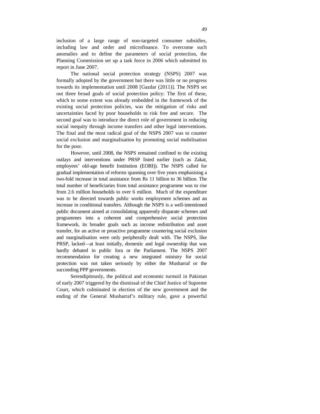inclusion of a large range of non-targeted consumer subsidies, including law and order and microfinance. To overcome such anomalies and to define the parameters of social protection, the Planning Commission set up a task force in 2006 which submitted its report in June 2007.

The national social protection strategy (NSPS) 2007 was formally adopted by the government but there was little or no progress towards its implementation until 2008 [Gazdar (2011)]. The NSPS set out three broad goals of social protection policy: The first of these, which to some extent was already embedded in the framework of the existing social protection policies, was the mitigation of risks and uncertainties faced by poor households to risk free and secure. The second goal was to introduce the direct role of government in reducing social inequity through income transfers and other legal interventions. The final and the most radical goal of the NSPS 2007 was to counter social exclusion and marginalisation by promoting social mobilisation for the poor.

However, until 2008, the NSPS remained confined to the existing outlays and interventions under PRSP listed earlier (such as Zakat, employees' old-age benefit Institution (EOBI)). The NSPS called for gradual implementation of reforms spanning over five years emphasising a two-fold increase in total assistance from Rs 11 billion to 36 billion. The total number of beneficiaries from total assistance programme was to rise from 2.6 million households to over 6 million. Much of the expenditure was to be directed towards public works employment schemes and an increase in conditional transfers. Although the NSPS is a well-intentioned public document aimed at consolidating apparently disparate schemes and programmes into a coherent and comprehensive social protection framework, its broader goals such as income redistribution and asset transfer, for an active or proactive programme countering social exclusion and marginalisation were only peripherally dealt with. The NSPS, like PRSP, lacked—at least initially, domestic and legal ownership that was hardly debated in public fora or the Parliament. The NSPS 2007 recommendation for creating a new integrated ministry for social protection was not taken seriously by either the Musharraf or the succeeding PPP governments.

Serendipitously, the political and economic turmoil in Pakistan of early 2007 triggered by the dismissal of the Chief Justice of Supreme Court, which culminated in election of the new government and the ending of the General Musharraf's military rule, gave a powerful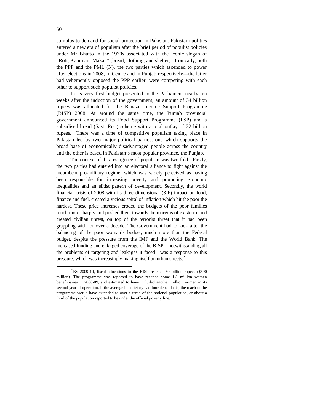stimulus to demand for social protection in Pakistan. Pakistani politics entered a new era of populism after the brief period of populist policies under Mr Bhutto in the 1970s associated with the iconic slogan of "Roti, Kapra aur Makan" (bread, clothing, and shelter). Ironically, both the PPP and the PML (N), the two parties which ascended to power after elections in 2008, in Centre and in Punjab respectively—the latter had vehemently opposed the PPP earlier, were competing with each other to support such populist policies.

In its very first budget presented to the Parliament nearly ten weeks after the induction of the government, an amount of 34 billion rupees was allocated for the Benazir Income Support Programme (BISP) 2008. At around the same time, the Punjab provincial government announced its Food Support Programme (FSP) and a subsidised bread (Sasti Roti) scheme with a total outlay of 22 billion rupees. There was a time of competitive populism taking place in Pakistan led by two major political parties, one which supports the broad base of economically disadvantaged people across the country and the other is based in Pakistan's most popular province, the Punjab.

The context of this resurgence of populism was two-fold. Firstly, the two parties had entered into an electoral alliance to fight against the incumbent pro-military regime, which was widely perceived as having been responsible for increasing poverty and promoting economic inequalities and an elitist pattern of development. Secondly, the world financial crisis of 2008 with its three dimensional (3-F) impact on food, finance and fuel, created a vicious spiral of inflation which hit the poor the hardest. These price increases eroded the budgets of the poor families much more sharply and pushed them towards the margins of existence and created civilian unrest, on top of the terrorist threat that it had been grappling with for over a decade. The Government had to look after the balancing of the poor woman's budget, much more than the Federal budget, despite the pressure from the IMF and the World Bank. The increased funding and enlarged coverage of the BISP—notwithstanding all the problems of targeting and leakages it faced—was a response to this pressure, which was increasingly making itself on urban streets.<sup>23</sup>

 $\overline{a}$ 

 $^{23}$ By 2009-10, fiscal allocations to the BISP reached 50 billion rupees (\$590) million). The programme was reported to have reached some 1.8 million women beneficiaries in 2008-09, and estimated to have included another million women in its second year of operation. If the average beneficiary had four dependants, the reach of the programme would have extended to over a tenth of the national population, or about a third of the population reported to be under the official poverty line.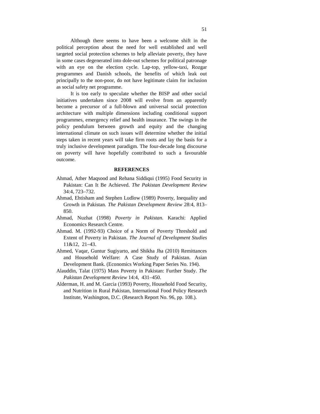Although there seems to have been a welcome shift in the political perception about the need for well established and well targeted social protection schemes to help alleviate poverty, they have in some cases degenerated into dole-out schemes for political patronage with an eye on the election cycle. Lap-top, yellow-taxi, Rozgar programmes and Danish schools, the benefits of which leak out principally to the non-poor, do not have legitimate claim for inclusion as social safety net programme.

It is too early to speculate whether the BISP and other social initiatives undertaken since 2008 will evolve from an apparently become a precursor of a full-blown and universal social protection architecture with multiple dimensions including conditional support programmes, emergency relief and health insurance. The swings in the policy pendulum between growth and equity and the changing international climate on such issues will determine whether the initial steps taken in recent years will take firm roots and lay the basis for a truly inclusive development paradigm. The four-decade long discourse on poverty will have hopefully contributed to such a favourable outcome.

#### **REFERENCES**

- Ahmad, Ather Maqsood and Rehana Siddiqui (1995) Food Security in Pakistan: Can It Be Achieved. *The Pakistan Development Review* 34:4, 723–732.
- Ahmad, Ehtisham and Stephen Ludlow (1989) Poverty, Inequality and Growth in Pakistan. *The Pakistan Development Review* 28:4, 813– 850.
- Ahmad, Nuzhat (1998) *Poverty in Pakistan*. Karachi: Applied Economics Research Centre.
- Ahmad. M. (1992-93) Choice of a Norm of Poverty Threshold and Extent of Poverty in Pakistan. *The Journal of Development Studies* 11&12, 21–43.
- Ahmed, Vaqar, Guntur Sugiyarto, and Shikha Jha (2010) Remittances and Household Welfare: A Case Study of Pakistan. Asian Development Bank. (Economics Working Paper Series No. 194).
- Alauddin, Talat (1975) Mass Poverty in Pakistan: Further Study. *The Pakistan Development Review* 14:4, 431–450.
- Alderman, H. and M. Garcia (1993) Poverty, Household Food Security, and Nutrition in Rural Pakistan, International Food Policy Research Institute, Washington, D.C. (Research Report No. 96, pp. 108.).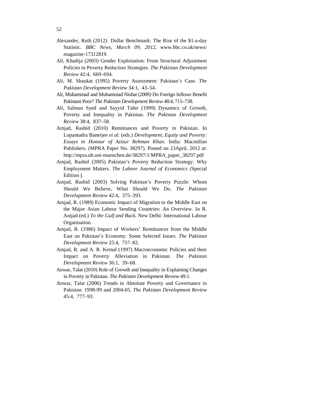- Alexander, Ruth (2012) Dollar Benchmark: The Rise of the \$1-a-day Statistic. *BBC News, March 09, 2012,* www.bbc.co.uk/news/ magazine-17312819.
- Ali, Khadija (2003) Gender Exploitation: From Structural Adjustment Policies to Poverty Reduction Strategies. *The Pakistan Development Review* 42:4, 669–694.
- Ali, M. Shaukat (1995) Poverty Assessment: Pakistan*'*s Case. *The Pakistan Development Review* 34:1, 43–54.
- Ali, Muhammad and Muhammad Nishat (2009*)* Do Foreign Inflows Benefit Pakistani Poor? *The Pakistan Development Review* 48:4, 715–738.
- Ali, Salman Syed and Sayyid Tahir (1999) Dynamics of Growth, Poverty and Inequality in Pakistan. *The Pakistan Development Review* 38:4, 837–58.
- Amjad, Rashid (2010) Remittances and Poverty in Pakistan. In Lopamudra Banerjee *et al.* (eds.) *Development, Equity and Poverty: Essays in Honour of Azizur Rehman Khan*. India: Macmillan Publishers. (MPRA Paper No. 38297). Posted on 23April, 2012 at: http://mpra.ub.uni-muenchen.de/38297/1/MPRA\_paper\_38297.pdf
- Amjad, Rashid (2005) Pakistan's Poverty Reduction Strategy: Why Employment Matters. *The Lahore Journal of Economics (*Special Edition ).
- Amjad, Rashid (2003) Solving Pakistan*'*s Poverty Puzzle: Whom Should We Believe, What Should We Do. *The Pakistan Development Review* 42:4, 375–393.
- Amjad, R. (1989) Economic Impact of Migration to the Middle East on the Major Asian Labour Sending Countries: An Overview. In R. Amjad (ed.) *To the Gulf and Back.* New Delhi: International Labour Organisation.
- Amjad, R. (1986) Impact of Workers' Remittances from the Middle East on Pakistan's Economy: Some Selected Issues. *The Pakistan Development Review* 25:4, 757–82.
- Amjad, R. and A. R. Kemal (1997) Macroeconomic Policies and their Impact on Poverty Alleviation in Pakistan. *The Pakistan Development Review* 36:1, 39–68.
- Anwar, Talat (2010) Role of Growth and Inequality in Explaining Changes in Poverty in Pakistan. *The Pakistan Development Review* 49:1.
- Anwar, Talat (2006) Trends in Absolute Poverty and Governance in Pakistan: 1998-99 and 2004-05. *The Pakistan Development Review* 45:4, 777–93.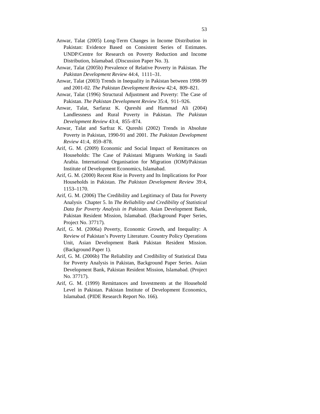- Anwar, Talat (2005) Long-Term Changes in Income Distribution in Pakistan: Evidence Based on Consistent Series of Estimates. UNDP/Centre for Research on Poverty Reduction and Income Distribution, Islamabad. (Discussion Paper No. 3).
- Anwar, Talat (2005b) Prevalence of Relative Poverty in Pakistan. *The Pakistan Development Review* 44:4, 1111–31.
- Anwar, Talat (2003) Trends in Inequality in Pakistan between 1998-99 and 2001-02. *The Pakistan Development Review* 42:4, 809–821.
- Anwar, Talat (1996) Structural Adjustment and Poverty: The Case of Pakistan. *The Pakistan Development Review* 35:4, 911–926.
- Anwar, Talat, Sarfaraz K. Qureshi and Hammad Ali (2004) Landlessness and Rural Poverty in Pakistan. *The Pakistan Development Review* 43:4, 855–874.
- Anwar, Talat and Sarfraz K. Qureshi (2002) Trends in Absolute Poverty in Pakistan, 1990-91 and 2001. *The Pakistan Development Review* 41:4, 859–878.
- Arif, G. M. (2009) Economic and Social Impact of Remittances on Households: The Case of Pakistani Migrants Working in Saudi Arabia. International Organisation for Migration (IOM)/Pakistan Institute of Development Economics, Islamabad.
- Arif, G. M. (2000) Recent Rise in Poverty and Its Implications for Poor Households in Pakistan. *The Pakistan Development Review* 39:4, 1153–1170.
- Arif, G. M. (2006) The Credibility and Legitimacy of Data for Poverty Analysis Chapter 5. In *The Reliability and Credibility of Statistical Data for Poverty Analysis in Pakistan.* Asian Development Bank, Pakistan Resident Mission, Islamabad. (Background Paper Series, Project No. 37717).
- Arif, G. M. (2006a) Poverty, Economic Growth, and Inequality: A Review of Pakistan's Poverty Literature. Country Policy Operations Unit, Asian Development Bank Pakistan Resident Mission. (Background Paper 1).
- Arif, G. M. (2006b) The Reliability and Credibility of Statistical Data for Poverty Analysis in Pakistan, Background Paper Series. Asian Development Bank, Pakistan Resident Mission, Islamabad. (Project No. 37717).
- Arif, G. M. (1999) Remittances and Investments at the Household Level in Pakistan. Pakistan Institute of Development Economics, Islamabad. (PIDE Research Report No. 166).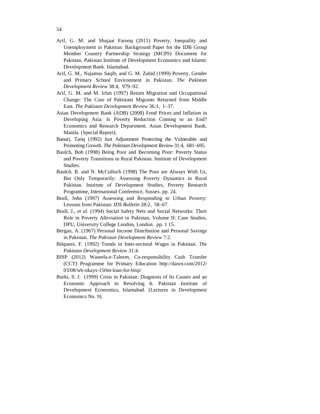- Arif, G. M. and Shujaat Farooq (2011) Poverty, Inequality and Unemployment in Pakistan: Background Paper for the IDB Group Member Country Partnership Strategy (MCPS) Document for Pakistan, Pakistan Institute of Development Economics and Islamic Development Bank. Islamabad.
- Arif, G. M., Najamus Saqib, and G. M. Zahid (1999) Poverty, Gender and Primary School Environment in Pakistan. *The Pakistan Development Review* 38:4, 979–92.
- Arif, G. M. and M. Irfan (1997) Return Migration and Occupational Change: The Case of Pakistani Migrants Returned from Middle East. *The Pakistan Development Review* 36:1, 1–37.
- Asian Development Bank (ADB) (2008) Food Prices and Inflation in Developing Asia: Is Poverty Reduction Coming to an End? Economics and Research Department. Asian Development Bank, Manila. (Special Report).
- Banuri, Tariq (1992) Just Adjustment Protecting the Vulnerable and Promoting Growth. *The Pakistan Development Review* 31:4, 681–695.
- Baulch, Bob (1998) Being Poor and Becoming Poor: Poverty Status and Poverty Transitions in Rural Pakistan. Institute of Development Studies.
- Baulch. B. and N. McCulloch (1998) The Poor are Always With Us, But Only Temporarily: Assessing Poverty Dynamics in Rural Pakistan. Institute of Development Studies, Poverty Research Programme, International Conference, Sussex. pp. 24.
- Beall, John (1997) Assessing and Responding to Urban Poverty: Lessons from Pakistan: *IDS Bulletin* 28:2, 58–67.
- Beall, J., *et al*. (1994) Social Safety Nets and Social Networks: Their Role in Poverty Alleviation in Pakistan, Volume II: Case Studies, DPU, University College London, London. pp. 1 15.
- Bergan, A. (1967) Personal Income Distribution and Personal Savings in Pakistan. *The Pakistan Development Review* 7:2.
- Bilquees, F. (1992) Trends in Inter-sectoral Wages in Pakistan. *The Pakistan Development Review* 31:4.
- BISP (2012) Waseela-e-Taleem, Co-responsibility Cash Transfer (CCT) Programme for Primary Education http://dawn.com/2012/ 03/08/wb-okays-150m-loan-for-bisp/
- Burki, S. J. (1999) Crisis in Pakistan: Diagnosis of Its Causes and an Economic Approach to Resolving It*.* Pakistan Institute of Development Economics, Islamabad. (Lectures in Development Economics No. 9).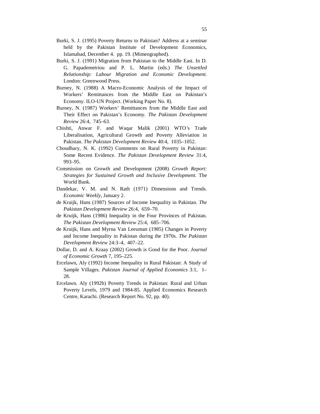- Burki, S. J. (1995) Poverty Returns to Pakistan? Address at a seminar held by the Pakistan Institute of Development Economics, Islamabad, December 4. pp. 19. (Mimeographed).
- Burki, S. J. (1991) Migration from Pakistan to the Middle East. In D. G. Papademetriou and P. L. Martin (eds.) *The Unsettled Relationship: Labour Migration and Economic Development.*  London: Greenwood Press.
- Burney, N. (1988) A Macro-Economic Analysis of the Impact of Workers' Remittances from the Middle East on Pakistan's Economy. ILO-UN Project. (Working Paper No. 8).
- Burney, N. (1987) Workers' Remittances from the Middle East and Their Effect on Pakistan's Economy. *The Pakistan Development Review* 26:4, 745–63.
- Chishti, Anwar F. and Waqar Malik (2001) WTO*'*s Trade Liberalisation, Agricultural Growth and Poverty Alleviation in Pakistan. *The Pakistan Development Review* 40:4, 1035–1052.
- Choudhary, N. K. (1992) Comments on Rural Poverty in Pakistan: Some Recent Evidence. *The Pakistan Development Review* 31:4, 993–95.
- Commission on Growth and Development (2008) *Growth Report: Strategies for Sustained Growth and Inclusive Development.* The World Bank.
- Dandekar, V. M. and N. Rath (1971) Dimensions and Trends. *Economic Weekly,* January 2.
- de Kruijk, Hans (1987) Sources of Income Inequality in Pakistan. *The Pakistan Development Review* 26:4, 659–70.
- de Kruijk, Hans (1986) Inequality in the Four Provinces of Pakistan. *The Pakistan Development Review* 25:4, 685–706.
- de Kruijk, Hans and Myrna Van Leeuman (1985) Changes in Poverty and Income Inequality in Pakistan during the 1970s. *The Pakistan Development Review* 24:3–4, 407–22.
- Dollar, D. and A. Kraay (2002) Growth is Good for the Poor. *Journal of Economic Growth* 7, 195–225.
- Ercelawn, Aly (1992) Income Inequality in Rural Pakistan: A Study of Sample Villages. *Pakistan Journal of Applied Economics* 3:1, 1– 28.
- Ercelawn. Aly (1992b) Poverty Trends in Pakistan: Rural and Urban Poverty Levels, 1979 and 1984-85. Applied Economics Research Centre, Karachi. (Research Report No. 92, pp. 40).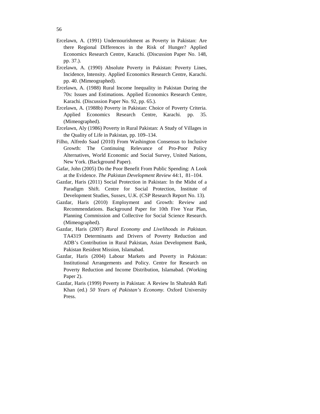- Ercelawn, A. (1991) Undernourishment as Poverty in Pakistan: Are there Regional Differences in the Risk of Hunger? Applied Economics Research Centre, Karachi. (Discussion Paper No. 148, pp. 37.).
- Ercelawn, A. (1990) Absolute Poverty in Pakistan: Poverty Lines, Incidence, Intensity. Applied Economics Research Centre, Karachi. pp. 40. (Mimeographed).
- Ercelawn, A. (1988) Rural Income Inequality in Pakistan During the 70s: Issues and Estimations. Applied Economics Research Centre, Karachi. (Discussion Paper No. 92, pp. 65.).
- Ercelawn, A. (1988b) Poverty in Pakistan: Choice of Poverty Criteria. Applied Economics Research Centre, Karachi. pp. 35. (Mimeographed).
- Ercelawn, Aly (1986) Poverty in Rural Pakistan: A Study of Villages in the Quality of Life in Pakistan, pp. 109–134.
- Filho, Alfredo Saad (2010) From Washington Consensus to Inclusive Growth: The Continuing Relevance of Pro-Poor Policy Alternatives, World Economic and Social Survey, United Nations, New York. (Background Paper).
- Gafar, John (2005) Do the Poor Benefit From Public Spending: A Look at the Evidence. *The Pakistan Development Review* 44:1, 81–104.
- Gazdar, Haris (2011) Social Protection in Pakistan: In the Midst of a Paradigm Shift. Centre for Social Protection, Institute of Development Studies, Sussex, U.K. (CSP Research Report No. 13).
- Gazdar, Haris (2010) Employment and Growth: Review and Recommendations. Background Paper for 10th Five Year Plan, Planning Commission and Collective for Social Science Research. (Mimeographed).
- Gazdar, Haris (2007) *Rural Economy and Livelihoods in Pakistan.* TA4319 Determinants and Drivers of Poverty Reduction and ADB's Contribution in Rural Pakistan, Asian Development Bank, Pakistan Resident Mission, Islamabad.
- Gazdar, Haris (2004) Labour Markets and Poverty in Pakistan: Institutional Arrangements and Policy. Centre for Research on Poverty Reduction and Income Distribution, Islamabad. (Working Paper 2).
- Gazdar, Haris (1999) Poverty in Pakistan: A Review In Shahrukh Rafi Khan (ed.) *50 Years of Pakistan's Economy.* Oxford University Press.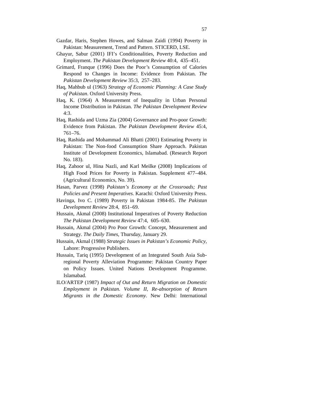- Gazdar, Haris, Stephen Howes, and Salman Zaidi (1994) Poverty in Pakistan: Measurement, Trend and Pattern. STICERD, LSE.
- Ghayur, Sabur (2001) IFI's Conditionalities, Poverty Reduction and Employment. *The Pakistan Development Review* 40:4, 435–451.
- Grimard, Franque (1996) Does the Poor*'*s Consumption of Calories Respond to Changes in Income: Evidence from Pakistan. *The Pakistan Development Review* 35:3, 257–283.
- Haq, Mahbub ul (1963) *Strategy of Economic Planning: A Case Study of Pakistan*. Oxford University Press.
- Haq, K. (1964) A Measurement of Inequality in Urban Personal Income Distribution in Pakistan. *The Pakistan Development Review* 4:3.
- Haq, Rashida and Uzma Zia (2004) Governance and Pro-poor Growth: Evidence from Pakistan. *The Pakistan Development Review* 45:4, 761–76.
- Haq, Rashida and Mohammad Ali Bhatti (2001) Estimating Poverty in Pakistan: The Non-food Consumption Share Approach. Pakistan Institute of Development Economics, Islamabad. (Research Report No. 183).
- Haq, Zahoor ul, Hina Nazli, and Karl Meilke (2008) Implications of High Food Prices for Poverty in Pakistan. Supplement 477–484. (Agricultural Economics, No. 39).
- Hasan, Parvez (1998) *Pakistan's Economy at the Crossroads; Past Policies and Present Imperatives*. Karachi: Oxford University Press.
- Havinga, Ivo C. (1989) Poverty in Pakistan 1984-85. *The Pakistan Development Review* 28:4, 851–69.
- Hussain, Akmal (2008) Institutional Imperatives of Poverty Reduction *The Pakistan Development Review* 47:4, 605–630.
- Hussain, Akmal (2004) Pro Poor Growth: Concept, Measurement and Strategy. *The Daily Times*, Thursday, January 29.
- Hussain, Akmal (1988) *Strategic Issues in Pakistan's Economic Policy,*  Lahore: Progressive Publishers.
- Hussain, Tariq (1995) Development of an Integrated South Asia Subregional Poverty Alleviation Programme: Pakistan Country Paper on Policy Issues. United Nations Development Programme. Islamabad.
- ILO/ARTEP (1987) *Impact of Out and Return Migration on Domestic Employment in Pakistan. Volume II, Re-absorption of Return Migrants in the Domestic Economy.* New Delhi: International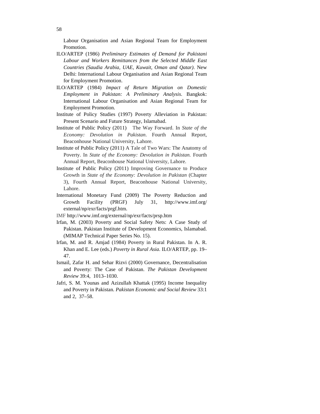Labour Organisation and Asian Regional Team for Employment Promotion.

- ILO/ARTEP (1986) *Preliminary Estimates of Demand for Pakistani Labour and Workers Remittances from the Selected Middle East Countries (Saudia Arabia, UAE, Kuwait, Oman and Qatar)*. New Delhi: International Labour Organisation and Asian Regional Team for Employment Promotion.
- ILO/ARTEP (1984) *Impact of Return Migration on Domestic Employment in Pakistan: A Preliminary Analysis*. Bangkok: International Labour Organisation and Asian Regional Team for Employment Promotion.
- Institute of Policy Studies (1997) Poverty Alleviation in Pakistan: Present Scenario and Future Strategy, Islamabad.
- Institute of Public Policy (2011)The Way Forward. In *State of the Economy: Devolution in Pakistan*. Fourth Annual Report, Beaconhouse National University, Lahore.
- Institute of Public Policy (2011) A Tale of Two Wars: The Anatomy of Poverty. In *State of the Economy: Devolution in Pakistan.* Fourth Annual Report, Beaconhouse National University, Lahore.
- Institute of Public Policy (2011) Improving Governance to Produce Growth in *State of the Economy: Devolution in Pakistan* (Chapter 3), Fourth Annual Report, Beaconhouse National University, Lahore.
- International Monetary Fund (2009) The Poverty Reduction and Growth Facility (PRGF) July 31, http://www.imf.org/ external/np/exr/facts/prgf.htm.
- IMF http://www.imf.org/external/np/exr/facts/prsp.htm
- Irfan, M. (2003) Poverty and Social Safety Nets: A Case Study of Pakistan. Pakistan Institute of Development Economics, Islamabad. (MIMAP Technical Paper Series No. 15).
- Irfan, M. and R. Amjad (1984) Poverty in Rural Pakistan. In A. R. Khan and E. Lee (eds.) *Poverty in Rural Asia*. ILO/ARTEP, pp. 19– 47.
- Ismail, Zafar H. and Sehar Rizvi (2000) Governance, Decentralisation and Poverty: The Case of Pakistan. *The Pakistan Development Review* 39:4, 1013–1030.
- Jafri, S. M. Younas and Azizullah Khattak (1995) Income Inequality and Poverty in Pakistan. *Pakistan Economic and Social Review* 33:1 and 2, 37–58.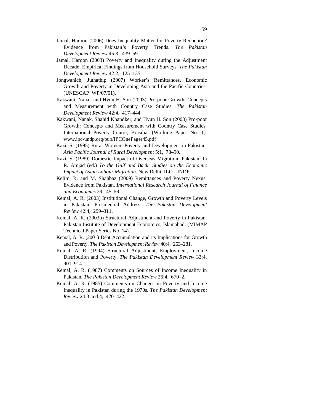- Jamal, Haroon (2006) Does Inequality Matter for Poverty Reduction? Evidence from Pakistan*'*s Poverty Trends. *The Pakistan Development Review* 45:3, 439–59.
- Jamal, Haroon (2003) Poverty and Inequality during the Adjustment Decade: Empirical Findings from Household Surveys. *The Pakistan Development Review* 42:2, 125–135.
- Jongwanich, Juthathip (2007) Worker's Remittances, Economic Growth and Poverty in Developing Asia and the Pacific Countries. (UNESCAP WP/07/01).
- Kakwani, Nanak and Hyun H. Son (2003) Pro-poor Growth: Concepts and Measurement with Country Case Studies. *The Pakistan Development Review* 42:4, 417–444.
- Kakwani, Nanak, Shahid Khandker, and Hyun H. Son (2003) Pro-poor Growth: Concepts and Measurement with Country Case Studies. International Poverty Centre, Brasilia. (Working Paper No. 1). www.ipc-undp.org/pub/IPCOnePager45.pdf
- Kazi, S. (1995) Rural Women, Poverty and Development in Pakistan. *Asia Pacific Journal of Rural Development* 5:1, 78–90.
- Kazi, S. (1989) Domestic Impact of Overseas Migration: Pakistan. In R. Amjad (ed.) *To the Gulf and Back: Studies on the Economic Impact of Asian Labour Migration.* New Delhi: ILO–UNDP.
- Kelim, R. and M. Shahbaz (2009) Remittances and Poverty Nexus: Evidence from Pakistan. *International Research Journal of Finance and Economics* 29, 45–59.
- Kemal, A. R. (2003) Institutional Change, Growth and Poverty Levels in Pakistan: Presidential Address. *The Pakistan Development Review* 42:4, 299–311.
- Kemal, A. R. (2003b) Structural Adjustment and Poverty in Pakistan. Pakistan Institute of Development Economics, Islamabad. (MIMAP Technical Paper Series No. 14).
- Kemal, A. R. (2001) Debt Accumulation and its Implications for Growth and Poverty. *The Pakistan Development Review* 40:4, 263–281.
- Kemal, A. R. (1994) Structural Adjustment, Employment, Income Distribution and Poverty. *The Pakistan Development Review* 33:4, 901–914.
- Kemal, A. R. (1987) Comments on Sources of Income Inequality in Pakistan. *The Pakistan Development Review* 26:4, 670–2.
- Kemal, A. R. (1985) Comments on Changes in Poverty and Income Inequality in Pakistan during the 1970s. *The Pakistan Development Review* 24:3 and 4, 420–422.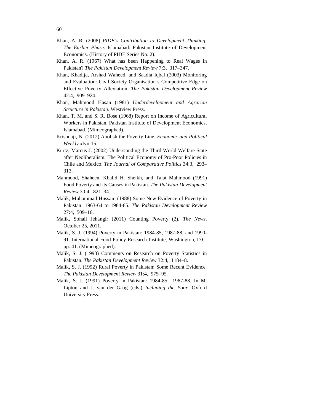- Khan, A. R. (2008) *PIDE's Contribution to Development Thinking: The Earlier Phase.* Islamabad: Pakistan Institute of Development Economics. (History of PIDE Series No. 2).
- Khan, A. R. (1967) What has been Happening to Real Wages in Pakistan? *The Pakistan Development Review* 7:3, 317–347.
- Khan, Khadija, Arshad Waheed, and Saadia Iqbal (2003) Monitoring and Evaluation: Civil Society Organisation*'*s Competitive Edge on Effective Poverty Alleviation. *The Pakistan Development Review* 42:4, 909–924.
- Khan, Mahmood Hasan (1981) *Underdevelopment and Agrarian Structure in Pakistan*. Westview Press.
- Khan, T. M. and S. R. Bose (1968) Report on Income of Agricultural Workers in Pakistan. Pakistan Institute of Development Economics, Islamabad. (Mimeographed).
- Krishnaji, N. (2012) Abolish the Poverty Line. *Economic and Political Weekly* xlvii:15.
- Kurtz, Marcus J. (2002) Understanding the Third World Welfare State after Neoliberalism: The Political Economy of Pro-Poor Policies in Chile and Mexico. *The Journal of Comparative Politics* 34:3, 293– 313.
- Mahmood, Shaheen, Khalid H. Sheikh, and Talat Mahmood (1991) Food Poverty and its Causes in Pakistan. *The Pakistan Development Review* 30:4, 821–34.
- Malik, Muhammad Hussain (1988) Some New Evidence of Poverty in Pakistan: 1963-64 to 1984-85. *The Pakistan Development Review* 27:4, 509–16.
- Malik, Sohail Jehangir (2011) Counting Poverty (2). *The News*, October 25, 2011.
- Malik, S. J. (1994) Poverty in Pakistan: 1984-85, 1987-88, and 1990- 91. International Food Policy Research Institute, Washington, D.C. pp. 41. (Mimeographed).
- Malik, S. J. (1993) Comments on Research on Poverty Statistics in Pakistan. *The Pakistan Development Review* 32:4, 1184–8.
- Malik, S. J. (1992) Rural Poverty in Pakistan: Some Recent Evidence. *The Pakistan Development Review* 31:4, 975–95.
- Malik, S. J. (1991) Poverty in Pakistan: 1984-85 1987-88. In M. Lipton and J. van der Gaag (eds.) *Including the Poor.* Oxford University Press.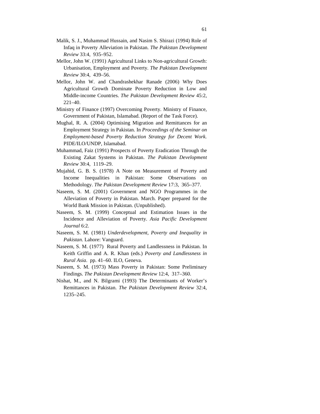- Malik, S. J., Muhammad Hussain, and Nasim S. Shirazi (1994) Role of Infaq in Poverty Alleviation in Pakistan. *The Pakistan Development Review* 33:4, 935–952.
- Mellor, John W. (1991) Agricultural Links to Non-agricultural Growth: Urbanisation, Employment and Poverty. *The Pakistan Development Review* 30:4, 439–56.
- Mellor, John W. and Chandrashekhar Ranade (2006) Why Does Agricultural Growth Dominate Poverty Reduction in Low and Middle-income Countries. *The Pakistan Development Review* 45:2, 221–40.
- Ministry of Finance (1997) Overcoming Poverty. Ministry of Finance, Government of Pakistan, Islamabad. (Report of the Task Force).
- Mughal, R. A. (2004) Optimising Migration and Remittances for an Employment Strategy in Pakistan. In *Proceedings of the Seminar on Employment-based Poverty Reduction Strategy for Decent Work.*  PIDE/ILO/UNDP, Islamabad.
- Muhammad, Faiz (1991) Prospects of Poverty Eradication Through the Existing Zakat Systems in Pakistan. *The Pakistan Development Review* 30:4, 1119–29.
- Mujahid, G. B. S. (1978) A Note on Measurement of Poverty and Income Inequalities in Pakistan: Some Observations on Methodology. *The Pakistan Development Review* 17:3, 365–377.
- Naseem, S. M. (2001) Government and NGO Programmes in the Alleviation of Poverty in Pakistan. March. Paper prepared for the World Bank Mission in Pakistan. (Unpublished).
- Naseem, S. M. (1999) Conceptual and Estimation Issues in the Incidence and Alleviation of Poverty. *Asia Pacific Development Journal* 6:2.
- Naseem, S. M. (1981) *Underdevelopment, Poverty and Inequality in Pakistan.* Lahore: Vanguard.
- Naseem, S. M. (1977) Rural Poverty and Landlessness in Pakistan. In Keith Griffin and A. R. Khan (eds.) *Poverty and Landlessness in Rural Asia*. pp. 41–60. ILO, Geneva.
- Naseem, S. M. (1973) Mass Poverty in Pakistan: Some Preliminary Findings. *The Pakistan Development Review* 12:4, 317–360.
- Nishat, M., and N. Bilgrami (1993) The Determinants of Worker's Remittances in Pakistan. *The Pakistan Development Review* 32:4, 1235–245.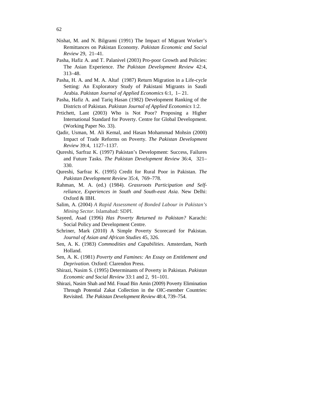- Nishat, M. and N. Bilgrami (1991) The Impact of Migrant Worker's Remittances on Pakistan Economy. *Pakistan Economic and Social Review* 29, 21–41.
- Pasha, Hafiz A. and T. Palanivel (2003) Pro-poor Growth and Policies: The Asian Experience. *The Pakistan Development Review* 42:4, 313–48.
- Pasha, H. A. and M. A. Altaf (1987) Return Migration in a Life-cycle Setting: An Exploratory Study of Pakistani Migrants in Saudi Arabia. *Pakistan Journal of Applied Economics* 6:1, 1– 21.
- Pasha, Hafiz A. and Tariq Hasan (1982) Development Ranking of the Districts of Pakistan. *Pakistan Journal of Applied Economics* 1:2.
- Prtichett, Lant (2003) Who is Not Poor? Proposing a Higher International Standard for Poverty. Centre for Global Development. (Working Paper No. 33).
- Qadir, Usman, M. Ali Kemal, and Hasan Mohammad Mohsin (2000) Impact of Trade Reforms on Poverty. *The Pakistan Development Review* 39:4, 1127–1137.
- Qureshi, Sarfraz K. (1997) Pakistan's Development: Success, Failures and Future Tasks. *The Pakistan Development Review* 36:4, 321– 330.
- Qureshi, Sarfraz K. (1995) Credit for Rural Poor in Pakistan. *The Pakistan Development Review* 35:4, 769–778.
- Rahman, M. A. (ed.) (1984). *Grassroots Participation and Selfreliance, Experiences in South and South-east Asia*. New Delhi: Oxford & IBH.
- Salim, A. (2004) *A Rapid Assessment of Bonded Labour in Pakistan's Mining Sector*. Islamabad: SDPI.
- Sayeed, Asad (1996) *Has Poverty Returned to Pakistan?* Karachi: Social Policy and Development Centre.
- Schriner, Mark (2010) A Simple Poverty Scorecard for Pakistan. *Journal of Asian and African Studies* 45, 326.
- Sen, A. K. (1983) *Commodities and Capabilities*. Amsterdam, North Holland.
- Sen, A. K. (1981) *Poverty and Famines: An Essay on Entitlement and Deprivation.* Oxford: Clarendon Press.
- Shirazi, Nasim S. (1995) Determinants of Poverty in Pakistan. *Pakistan Economic and Social Review* 33:1 and 2, 91–101.
- Shirazi, Nasim Shah and Md. Fouad Bin Amin (2009) Poverty Elimination Through Potential Zakat Collection in the OIC-member Countries: Revisited. *The Pakistan Development Review* 48:4, 739–754.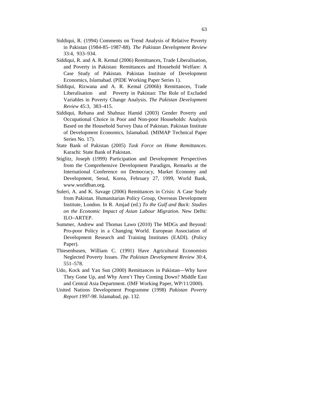- Siddiqui, R. (1994) Comments on Trend Analysis of Relative Poverty in Pakistan (1984-85–1987-88). *The Pakistan Development Review* 33:4, 933–934.
- Siddiqui, R. and A. R. Kemal (2006) Remittances, Trade Liberalisation, and Poverty in Pakistan: Remittances and Household Welfare: A Case Study of Pakistan. Pakistan Institute of Development Economics, Islamabad. (PIDE Working Paper Series 1).
- Siddiqui, Rizwana and A. R. Kemal (2006b) Remittances, Trade LiberalisationandPoverty in Pakistan: The Role of Excluded Variables in Poverty Change Analysis. *The Pakistan Development Review* 45:3, 383–415.
- Siddiqui, Rehana and Shahnaz Hamid (2003) Gender Poverty and Occupational Choice in Poor and Non-poor Households: Analysis Based on the Household Survey Data of Pakistan. Pakistan Institute of Development Economics, Islamabad. (MIMAP Technical Paper Series No. 17).
- State Bank of Pakistan (2005) *Task Force on Home Remittances*. Karachi: State Bank of Pakistan.
- Stiglitz, Joseph (1999) Participation and Development Perspectives from the Comprehensive Development Paradigm, Remarks at the International Conference on Democracy, Market Economy and Development, Seoul, Korea, February 27, 1999, World Bank, www.worldban.org.
- Suleri, A. and K. Savage (2006) Remittances in Crisis: A Case Study from Pakistan. Humanitarian Policy Group, Overseas Development Institute, London. In R. Amjad (ed.) *To the Gulf and Back: Studies on the Economic Impact of Asian Labour Migration.* New Delhi: ILO–ARTEP.
- Summer, Andrew and Thomas Lawo (2010) The MDGs and Beyond: Pro-poor Policy in a Changing World. European Association of Development Research and Training Institutes (EADI). (Policy Paper).
- Thiesenhusen, William C. (1991) Have Agricultural Economists Neglected Poverty Issues. *The Pakistan Development Review* 30:4, 551–578.
- Udo, Kock and Yan Sun (2000) Remittances in Pakistan—Why have They Gone Up, and Why Aren't They Coming Down? Middle East and Central Asia Department. (IMF Working Paper, WP/11/2000).
- United Nations Development Programme (1998) *Pakistan Poverty Report 1997-98*. Islamabad, pp. 132.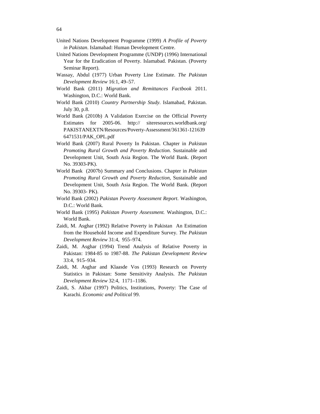- United Nations Development Programme (1999) *A Profile of Poverty in Pakistan*. Islamabad: Human Development Centre.
- United Nations Development Programme (UNDP) (1996) International Year for the Eradication of Poverty. Islamabad. Pakistan. (Poverty Seminar Report).
- Wassay, Abdul (1977) Urban Poverty Line Estimate. *The Pakistan Development Review* 16:1, 49–57.
- World Bank (2011) *Migration and Remittances Factbook* 2011. Washington, D.C.: World Bank.
- World Bank (2010) *Country Partnership Study*. Islamabad, Pakistan. July 30, p.8.
- World Bank (2010b) A Validation Exercise on the Official Poverty Estimates for 2005-06. http:// siteresources.worldbank.org/ PAKISTANEXTN/Resources/Poverty-Assessment/361361-121639 6471531/PAK\_OPL.pdf
- World Bank (2007) Rural Poverty In Pakistan. Chapter in *Pakistan Promoting Rural Growth and Poverty Reduction*. Sustainable and Development Unit, South Asia Region. The World Bank. (Report No. 39303-PK).
- World Bank (2007b) Summary and Conclusions. Chapter in *Pakistan Promoting Rural Growth and Poverty Reduction*, Sustainable and Development Unit, South Asia Region. The World Bank. (Report No. 39303- PK).
- World Bank (2002) *Pakistan Poverty Assessment Report*. Washington, D.C.: World Bank.
- World Bank (1995) *Pakistan Poverty Assessment.* Washington, D.C.: World Bank.
- Zaidi, M. Asghar (1992) Relative Poverty in Pakistan An Estimation from the Household Income and Expenditure Survey. *The Pakistan Development Review* 31:4, 955–974.
- Zaidi, M. Asghar (1994) Trend Analysis of Relative Poverty in Pakistan: 1984-85 to 1987-88. *The Pakistan Development Review* 33:4, 915–934.
- Zaidi, M. Asghar and Klaasde Vos (1993) Research on Poverty Statistics in Pakistan: Some Sensitivity Analysis. *The Pakistan Development Review* 32:4, 1171–1186.
- Zaidi, S. Akbar (1997) Politics, Institutions, Poverty: The Case of Karachi. *Economic and Political* 99.